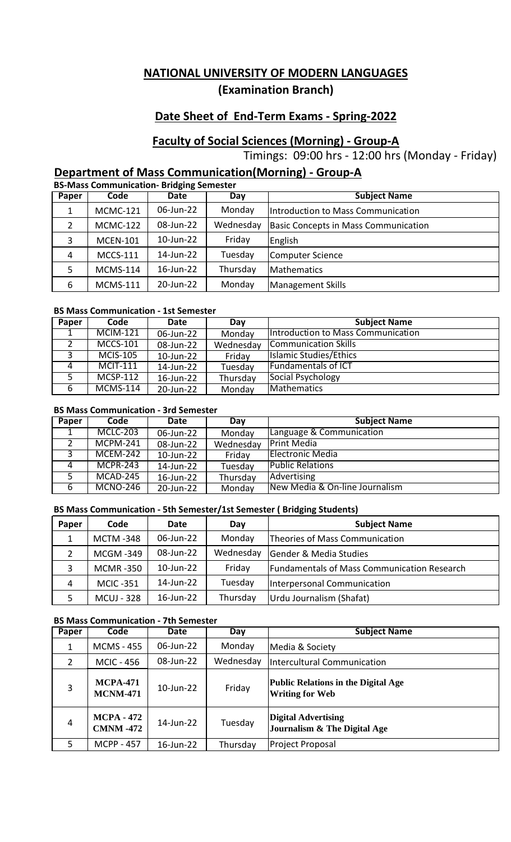# **Date Sheet of End-Term Exams - Spring-2022**

# **Faculty of Social Sciences (Morning) - Group-A**

Timings: 09:00 hrs - 12:00 hrs (Monday - Friday)

# **Department of Mass Communication(Morning) - Group-A**

|       | <b>BS-Mass Communication- Bridging Semester</b> |           |           |                                             |  |  |  |
|-------|-------------------------------------------------|-----------|-----------|---------------------------------------------|--|--|--|
| Paper | Code                                            | Date      | Day       | <b>Subject Name</b>                         |  |  |  |
|       | <b>MCMC-121</b>                                 | 06-Jun-22 | Monday    | Introduction to Mass Communication          |  |  |  |
| 2     | <b>MCMC-122</b>                                 | 08-Jun-22 | Wednesday | <b>Basic Concepts in Mass Communication</b> |  |  |  |
| 3     | <b>MCEN-101</b>                                 | 10-Jun-22 | Friday    | English                                     |  |  |  |
| 4     | <b>MCCS-111</b>                                 | 14-Jun-22 | Tuesday   | <b>Computer Science</b>                     |  |  |  |
| 5     | <b>MCMS-114</b>                                 | 16-Jun-22 | Thursday  | <b>Mathematics</b>                          |  |  |  |
| 6     | <b>MCMS-111</b>                                 | 20-Jun-22 | Monday    | <b>Management Skills</b>                    |  |  |  |

#### **BS Mass Communication - 1st Semester**

| Paper | Code            | Date      | Dav       | <b>Subject Name</b>                |
|-------|-----------------|-----------|-----------|------------------------------------|
|       | <b>MCIM-121</b> | 06-Jun-22 | Monday    | Introduction to Mass Communication |
|       | <b>MCCS-101</b> | 08-Jun-22 | Wednesday | <b>Communication Skills</b>        |
|       | <b>MCIS-105</b> | 10-Jun-22 | Friday    | Islamic Studies/Ethics             |
|       | <b>MCIT-111</b> | 14-Jun-22 | Tuesday   | <b>Fundamentals of ICT</b>         |
|       | <b>MCSP-112</b> | 16-Jun-22 | Thursday  | Social Psychology                  |
| 6     | <b>MCMS-114</b> | 20-Jun-22 | Monday    | <b>Mathematics</b>                 |

#### **BS Mass Communication - 3rd Semester**

| Paper | Code            | Date      | Day       | <b>Subject Name</b>            |
|-------|-----------------|-----------|-----------|--------------------------------|
|       | <b>MCLC-203</b> | 06-Jun-22 | Monday    | Language & Communication       |
|       | $MCPM-241$      | 08-Jun-22 | Wednesday | <b>Print Media</b>             |
|       | <b>MCEM-242</b> | 10-Jun-22 | Friday    | <b>Electronic Media</b>        |
| 4     | <b>MCPR-243</b> | 14-Jun-22 | Tuesday   | <b>Public Relations</b>        |
|       | MCAD-245        | 16-Jun-22 | Thursday  | Advertising                    |
| 6     | <b>MCNO-246</b> | 20-Jun-22 | Monday    | New Media & On-line Journalism |

### **BS Mass Communication - 5th Semester/1st Semester ( Bridging Students)**

| Paper         | Code              | Date      | Day       | <b>Subject Name</b>                                |
|---------------|-------------------|-----------|-----------|----------------------------------------------------|
|               | <b>MCTM-348</b>   | 06-Jun-22 | Monday    | Theories of Mass Communication                     |
| $\mathcal{P}$ | <b>MCGM-349</b>   | 08-Jun-22 | Wednesday | <b>Gender &amp; Media Studies</b>                  |
| 3             | <b>MCMR-350</b>   | 10-Jun-22 | Friday    | <b>Fundamentals of Mass Communication Research</b> |
| 4             | <b>MCIC-351</b>   | 14-Jun-22 | Tuesday   | Interpersonal Communication                        |
|               | <b>MCUJ - 328</b> | 16-Jun-22 | Thursday  | Urdu Journalism (Shafat)                           |

### **BS Mass Communication - 7th Semester**

| Paper | Code                                  | Date      | Day       | <b>Subject Name</b>                                                   |
|-------|---------------------------------------|-----------|-----------|-----------------------------------------------------------------------|
| 1     | <b>MCMS - 455</b>                     | 06-Jun-22 | Monday    | Media & Society                                                       |
| 2     | <b>MCIC - 456</b>                     | 08-Jun-22 | Wednesday | <b>Intercultural Communication</b>                                    |
| 3     | <b>MCPA-471</b><br><b>MCNM-471</b>    | 10-Jun-22 | Friday    | <b>Public Relations in the Digital Age</b><br><b>Writing for Web</b>  |
| 4     | <b>MCPA - 472</b><br><b>CMNM -472</b> | 14-Jun-22 | Tuesday   | <b>Digital Advertising</b><br><b>Journalism &amp; The Digital Age</b> |
| .5    | <b>MCPP - 457</b>                     | 16-Jun-22 | Thursday  | Project Proposal                                                      |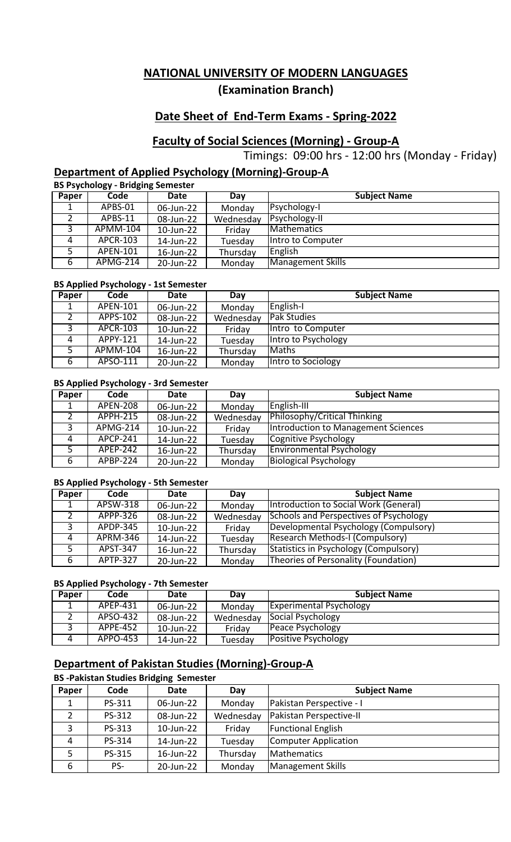# **Date Sheet of End-Term Exams - Spring-2022**

# **Faculty of Social Sciences (Morning) - Group-A**

Timings: 09:00 hrs - 12:00 hrs (Monday - Friday)

## **Department of Applied Psychology (Morning)-Group-A**

**BS Psychology - Bridging Semester**

| Paper | Code            | Date      | Day       | <b>Subject Name</b> |
|-------|-----------------|-----------|-----------|---------------------|
|       | APBS-01         | 06-Jun-22 | Monday    | Psychology-I        |
|       | APBS-11         | 08-Jun-22 | Wednesday | Psychology-II       |
|       | APMM-104        | 10-Jun-22 | Friday    | <b>Mathematics</b>  |
|       | APCR-103        | 14-Jun-22 | Tuesday   | Intro to Computer   |
|       | APEN-101        | 16-Jun-22 | Thursday  | English             |
| 6     | <b>APMG-214</b> | 20-Jun-22 | Monday    | Management Skills   |

### **BS Applied Psychology - 1st Semester**

| Paper | Code            | Date      | Day       | <b>Subject Name</b> |
|-------|-----------------|-----------|-----------|---------------------|
|       | APEN-101        | 06-Jun-22 | Monday    | English-I           |
|       | APPS-102        | 08-Jun-22 | Wednesday | <b>Pak Studies</b>  |
|       | <b>APCR-103</b> | 10-Jun-22 | Friday    | Intro to Computer   |
| 4     | APPY-121        | 14-Jun-22 | Tuesday   | Intro to Psychology |
|       | <b>APMM-104</b> | 16-Jun-22 | Thursday  | <b>Maths</b>        |
| 6     | APSO-111        | 20-Jun-22 | Monday    | Intro to Sociology  |

### **BS Applied Psychology - 3rd Semester**

| Paper    | Code                  | Date      | Day       | <b>Subject Name</b>                 |
|----------|-----------------------|-----------|-----------|-------------------------------------|
|          | <b>APEN-208</b>       | 06-Jun-22 | Monday    | English-III                         |
|          | <b>APPH-215</b>       | 08-Jun-22 | Wednesday | Philosophy/Critical Thinking        |
|          | APMG-214              | 10-Jun-22 | Friday    | Introduction to Management Sciences |
| $\Delta$ | $\overline{APCP-241}$ | 14-Jun-22 | Tuesday   | Cognitive Psychology                |
|          | APEP-242              | 16-Jun-22 | Thursday  | <b>Environmental Psychology</b>     |
| 6        | APBP-224              | 20-Jun-22 | Monday    | <b>Biological Psychology</b>        |

#### **BS Applied Psychology - 5th Semester**

| Paper | Code                  | Date      | Dav       | <b>Subject Name</b>                           |
|-------|-----------------------|-----------|-----------|-----------------------------------------------|
|       | APSW-318              | 06-Jun-22 | Monday    | Introduction to Social Work (General)         |
|       | APPP-326              | 08-Jun-22 | Wednesday | <b>Schools and Perspectives of Psychology</b> |
|       | <b>APDP-345</b>       | 10-Jun-22 | Friday    | Developmental Psychology (Compulsory)         |
| Δ     | <b>APRM-346</b>       | 14-Jun-22 | Tuesday   | <b>Research Methods-I (Compulsory)</b>        |
|       | $\overline{APST-347}$ | 16-Jun-22 | Thursday  | Statistics in Psychology (Compulsory)         |
| 6     | APTP-327              | 20-Jun-22 | Monday    | Theories of Personality (Foundation)          |

### **BS Applied Psychology - 7th Semester**

| Paper | Code     | Date      | Dav       | <b>Subject Name</b>            |
|-------|----------|-----------|-----------|--------------------------------|
|       | APEP-431 | 06-Jun-22 | Monday    | <b>Experimental Psychology</b> |
|       | APSO-432 | 08-Jun-22 | Wednesday | Social Psychology              |
|       | APPE-452 | 10-Jun-22 | Fridav    | Peace Psychology               |
|       | APPO-453 | 14-Jun-22 | Tuesdav   | Positive Psychology            |

# **Department of Pakistan Studies (Morning)-Group-A**

### **BS -Pakistan Studies Bridging Semester**

| Paper        | Code   | <b>Date</b> | Day       | <b>Subject Name</b>         |
|--------------|--------|-------------|-----------|-----------------------------|
|              | PS-311 | 06-Jun-22   | Monday    | Pakistan Perspective - I    |
|              | PS-312 | 08-Jun-22   | Wednesday | Pakistan Perspective-II     |
| $\mathbf{D}$ | PS-313 | 10-Jun-22   | Friday    | <b>Functional English</b>   |
| 4            | PS-314 | 14-Jun-22   | Tuesday   | <b>Computer Application</b> |
| 5            | PS-315 | 16-Jun-22   | Thursday  | <b>Mathematics</b>          |
| 6            | PS-    | 20-Jun-22   | Monday    | Management Skills           |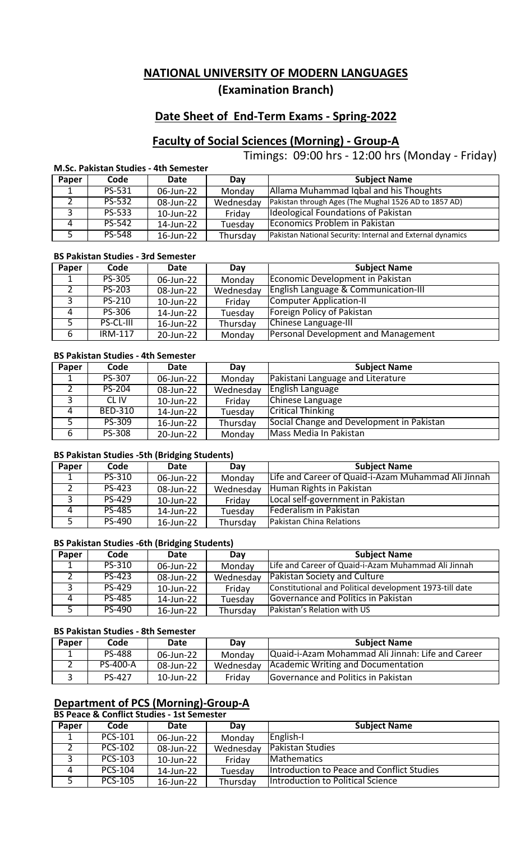# **Date Sheet of End-Term Exams - Spring-2022**

# **Faculty of Social Sciences (Morning) - Group-A**

Timings: 09:00 hrs - 12:00 hrs (Monday - Friday)

### **M.Sc. Pakistan Studies - 4th Semester**

| Paper    | Code          | Date      | Dav       | <b>Subject Name</b>                                        |
|----------|---------------|-----------|-----------|------------------------------------------------------------|
|          | PS-531        | 06-Jun-22 | Monday    | Allama Muhammad Iqbal and his Thoughts                     |
|          | PS-532        | 08-Jun-22 | Wednesday | Pakistan through Ages (The Mughal 1526 AD to 1857 AD)      |
|          | PS-533        | 10-Jun-22 | Fridav    | Ideological Foundations of Pakistan                        |
| $\Delta$ | PS-542        | 14-Jun-22 | Tuesday   | Economics Problem in Pakistan                              |
|          | <b>PS-548</b> | 16-Jun-22 | Thursday  | Pakistan National Security: Internal and External dynamics |

#### **BS Pakistan Studies - 3rd Semester**

| Paper | Code             | Date      | Dav       | <b>Subject Name</b>                             |
|-------|------------------|-----------|-----------|-------------------------------------------------|
|       | PS-305           | 06-Jun-22 | Monday    | Economic Development in Pakistan                |
|       | <b>PS-203</b>    | 08-Jun-22 | Wednesday | <b>English Language &amp; Communication-III</b> |
|       | PS-210           | 10-Jun-22 | Friday    | Computer Application-II                         |
| 4     | PS-306           | 14-Jun-22 | Tuesday   | Foreign Policy of Pakistan                      |
|       | <b>PS-CL-III</b> | 16-Jun-22 | Thursday  | <b>Chinese Language-III</b>                     |
| -6    | <b>IRM-117</b>   | 20-Jun-22 | Monday    | <b>Personal Development and Management</b>      |

#### **BS Pakistan Studies - 4th Semester**

| Paper | Code           | Date      | Dav       | <b>Subject Name</b>                       |
|-------|----------------|-----------|-----------|-------------------------------------------|
|       | PS-307         | 06-Jun-22 | Monday    | Pakistani Language and Literature         |
|       | <b>PS-204</b>  | 08-Jun-22 | Wednesday | English Language                          |
|       | CL IV          | 10-Jun-22 | Friday    | Chinese Language                          |
|       | <b>BED-310</b> | 14-Jun-22 | Tuesday   | <b>Critical Thinking</b>                  |
|       | PS-309         | 16-Jun-22 | Thursday  | Social Change and Development in Pakistan |
| 6     | <b>PS-308</b>  | 20-Jun-22 | Monday    | Mass Media In Pakistan                    |

#### **BS Pakistan Studies -5th (Bridging Students)**

| Paper | Code          | Date      | Day       | <b>Subject Name</b>                                 |
|-------|---------------|-----------|-----------|-----------------------------------------------------|
|       | PS-310        | 06-Jun-22 | Monday    | Life and Career of Quaid-i-Azam Muhammad Ali Jinnah |
|       | PS-423        | 08-Jun-22 | Wednesday | Human Rights in Pakistan                            |
|       | <b>PS-429</b> | 10-Jun-22 | Friday    | Local self-government in Pakistan                   |
| Δ     | <b>PS-485</b> | 14-Jun-22 | Tuesday   | Federalism in Pakistan                              |
|       | PS-490        | 16-Jun-22 | Thursday  | <b>Pakistan China Relations</b>                     |

#### **BS Pakistan Studies -6th (Bridging Students)**

| Paper | Code   | Date      | Dav       | <b>Subject Name</b>                                     |
|-------|--------|-----------|-----------|---------------------------------------------------------|
|       | PS-310 | 06-Jun-22 | Monday    | Life and Career of Quaid-i-Azam Muhammad Ali Jinnah     |
|       | PS-423 | 08-Jun-22 | Wednesday | <b>Pakistan Society and Culture</b>                     |
|       | PS-429 | 10-Jun-22 | Friday    | Constitutional and Political development 1973-till date |
|       | PS-485 | 14-Jun-22 | Tuesday   | Governance and Politics in Pakistan                     |
|       | PS-490 | 16-Jun-22 | Thursday  | Pakistan's Relation with US                             |

#### **BS Pakistan Studies - 8th Semester**

| Paper | Code            | Date         | Dav       | <b>Subject Name</b>                               |
|-------|-----------------|--------------|-----------|---------------------------------------------------|
|       | <b>PS-488</b>   | 06-Jun-22    | Monday    | Quaid-i-Azam Mohammad Ali Jinnah: Life and Career |
|       | <b>PS-400-A</b> | 08-Jun-22    | Wednesday | Academic Writing and Documentation                |
|       | <b>PS-427</b>   | $10$ -Jun-22 | Friday    | Governance and Politics in Pakistan               |

## **Department of PCS (Morning)-Group-A**

**BS Peace & Conflict Studies - 1st Semester**

| Paper | Code           | Date      | Dav       | <b>Subject Name</b>                        |
|-------|----------------|-----------|-----------|--------------------------------------------|
|       | PCS-101        | 06-Jun-22 | Monday    | English-I                                  |
|       | PCS-102        | 08-Jun-22 | Wednesday | <b>IPakistan Studies</b>                   |
|       | PCS-103        | 10-Jun-22 | Friday    | <b>IMathematics</b>                        |
| Δ     | PCS-104        | 14-Jun-22 | Tuesday   | Introduction to Peace and Conflict Studies |
|       | <b>PCS-105</b> | 16-Jun-22 | Thursdav  | Introduction to Political Science          |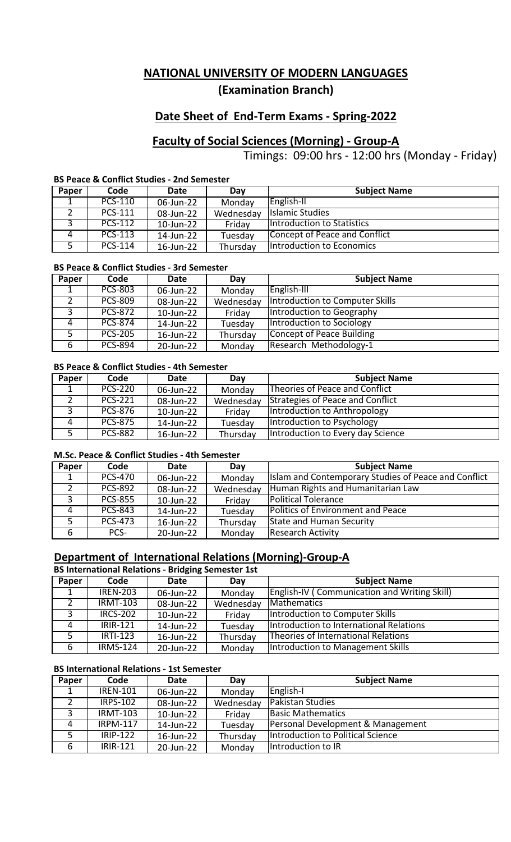# **Date Sheet of End-Term Exams - Spring-2022**

## **Faculty of Social Sciences (Morning) - Group-A**

Timings: 09:00 hrs - 12:00 hrs (Monday - Friday)

### **BS Peace & Conflict Studies - 2nd Semester**

| Paper | Code           | Date      | Day       | <b>Subject Name</b>               |
|-------|----------------|-----------|-----------|-----------------------------------|
|       | PCS-110        | 06-Jun-22 | Monday    | English-II                        |
|       | PCS-111        | 08-Jun-22 | Wednesday | <b>Islamic Studies</b>            |
|       | <b>PCS-112</b> | 10-Jun-22 | Friday    | <b>Introduction to Statistics</b> |
|       | PCS-113        | 14-Jun-22 | Tuesday   | Concept of Peace and Conflict     |
|       | <b>PCS-114</b> | 16-Jun-22 | Thursday  | Introduction to Economics         |

### **BS Peace & Conflict Studies - 3rd Semester**

| Paper | Code           | Date      | Day       | <b>Subject Name</b>             |
|-------|----------------|-----------|-----------|---------------------------------|
|       | <b>PCS-803</b> | 06-Jun-22 | Monday    | English-III                     |
|       | <b>PCS-809</b> | 08-Jun-22 | Wednesday | Introduction to Computer Skills |
|       | <b>PCS-872</b> | 10-Jun-22 | Friday    | Introduction to Geography       |
|       | <b>PCS-874</b> | 14-Jun-22 | Tuesday   | Introduction to Sociology       |
|       | <b>PCS-205</b> | 16-Jun-22 | Thursday  | Concept of Peace Building       |
| 6     | <b>PCS-894</b> | 20-Jun-22 | Monday    | Research Methodology-1          |

#### **BS Peace & Conflict Studies - 4th Semester**

| Paper | Code           | Date      | Dav       | <b>Subject Name</b>               |
|-------|----------------|-----------|-----------|-----------------------------------|
|       | <b>PCS-220</b> | 06-Jun-22 | Monday    | Theories of Peace and Conflict    |
|       | <b>PCS-221</b> | 08-Jun-22 | Wednesday | Strategies of Peace and Conflict  |
|       | PCS-876        | 10-Jun-22 | Friday    | Introduction to Anthropology      |
|       | <b>PCS-875</b> | 14-Jun-22 | Tuesday   | Introduction to Psychology        |
|       | <b>PCS-882</b> | 16-Jun-22 | Thursday  | Introduction to Every day Science |

#### **M.Sc. Peace & Conflict Studies - 4th Semester**

| Paper    | Code           | Date      | Dav       | <b>Subject Name</b>                                  |
|----------|----------------|-----------|-----------|------------------------------------------------------|
|          | <b>PCS-470</b> | 06-Jun-22 | Monday    | Islam and Contemporary Studies of Peace and Conflict |
|          | <b>PCS-892</b> | 08-Jun-22 | Wednesday | Human Rights and Humanitarian Law                    |
|          | <b>PCS-855</b> | 10-Jun-22 | Friday    | <b>Political Tolerance</b>                           |
| $\Delta$ | <b>PCS-843</b> | 14-Jun-22 | Tuesday   | <b>Politics of Environment and Peace</b>             |
|          | <b>PCS-473</b> | 16-Jun-22 | Thursday  | <b>State and Human Security</b>                      |
| 6        | PCS-           | 20-Jun-22 | Monday    | <b>Research Activity</b>                             |

# **Department of International Relations (Morning)-Group-A**

#### **BS International Relations - Bridging Semester 1st**

| Paper | Code            | Date      | Dav       | <b>Subject Name</b>                                 |
|-------|-----------------|-----------|-----------|-----------------------------------------------------|
| 1     | <b>IREN-203</b> | 06-Jun-22 | Monday    | <b>English-IV (Communication and Writing Skill)</b> |
| 2     | <b>IRMT-103</b> | 08-Jun-22 | Wednesday | Mathematics                                         |
| 3     | <b>IRCS-202</b> | 10-Jun-22 | Friday    | Introduction to Computer Skills                     |
| 4     | <b>IRIR-121</b> | 14-Jun-22 | Tuesday   | Introduction to International Relations             |
| 5.    | <b>IRTI-123</b> | 16-Jun-22 | Thursday  | Theories of International Relations                 |
| 6     | <b>IRMS-124</b> | 20-Jun-22 | Monday    | Introduction to Management Skills                   |

#### **BS International Relations - 1st Semester**

| Paper | Code            | Date      | Day       | <b>Subject Name</b>               |
|-------|-----------------|-----------|-----------|-----------------------------------|
|       | <b>IREN-101</b> | 06-Jun-22 | Monday    | English-I                         |
|       | <b>IRPS-102</b> | 08-Jun-22 | Wednesday | Pakistan Studies                  |
|       | <b>IRMT-103</b> | 10-Jun-22 | Friday    | <b>Basic Mathematics</b>          |
| 4     | <b>IRPM-117</b> | 14-Jun-22 | Tuesday   | Personal Development & Management |
|       | <b>IRIP-122</b> | 16-Jun-22 | Thursday  | Introduction to Political Science |
| 6     | <b>IRIR-121</b> | 20-Jun-22 | Monday    | Introduction to IR                |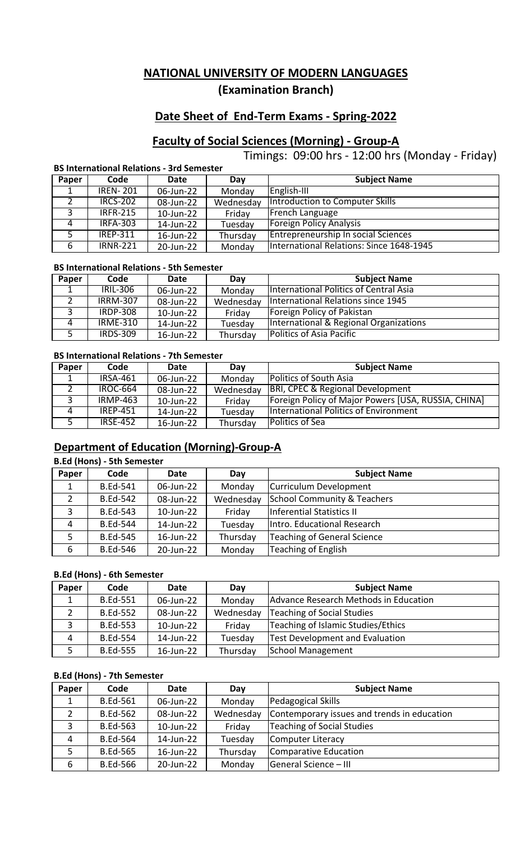# **Date Sheet of End-Term Exams - Spring-2022**

# **Faculty of Social Sciences (Morning) - Group-A**

Timings: 09:00 hrs - 12:00 hrs (Monday - Friday)

### **BS International Relations - 3rd Semester**

| Paper | Code            | Date      | Dav       | <b>Subject Name</b>                      |
|-------|-----------------|-----------|-----------|------------------------------------------|
|       | <b>IREN-201</b> | 06-Jun-22 | Monday    | English-III                              |
|       | <b>IRCS-202</b> | 08-Jun-22 | Wednesday | Introduction to Computer Skills          |
| ્ર    | <b>IRFR-215</b> | 10-Jun-22 | Friday    | French Language                          |
| 4     | <b>IRFA-303</b> | 14-Jun-22 | Tuesday   | <b>Foreign Policy Analysis</b>           |
|       | <b>IREP-311</b> | 16-Jun-22 | Thursday  | Entrepreneurship In social Sciences      |
| -6    | <b>IRNR-221</b> | 20-Jun-22 | Monday    | International Relations: Since 1648-1945 |

### **BS International Relations - 5th Semester**

| Paper | Code            | Date      | Dav       | <b>Subject Name</b>                    |
|-------|-----------------|-----------|-----------|----------------------------------------|
|       | <b>IRIL-306</b> | 06-Jun-22 | Monday    | International Politics of Central Asia |
|       | <b>IRRM-307</b> | 08-Jun-22 | Wednesday | International Relations since 1945     |
|       | <b>IRDP-308</b> | 10-Jun-22 | Friday    | Foreign Policy of Pakistan             |
|       | <b>IRME-310</b> | 14-Jun-22 | Tuesday   | International & Regional Organizations |
|       | <b>IRDS-309</b> | 16-Jun-22 | Thursday  | <b>Politics of Asia Pacific</b>        |

### **BS International Relations - 7th Semester**

| Paper | Code            | Date      | Dav       | <b>Subject Name</b>                                 |
|-------|-----------------|-----------|-----------|-----------------------------------------------------|
|       | <b>IRSA-461</b> | 06-Jun-22 | Monday    | <b>Politics of South Asia</b>                       |
|       | <b>IROC-664</b> | 08-Jun-22 | Wednesday | <b>BRI, CPEC &amp; Regional Development</b>         |
|       | <b>IRMP-463</b> | 10-Jun-22 | Friday    | Foreign Policy of Major Powers [USA, RUSSIA, CHINA] |
|       | <b>IRFP-451</b> | 14-Jun-22 | Tuesday   | <b>International Politics of Environment</b>        |
|       | <b>IRSF-452</b> | 16-Jun-22 | Thursday  | Politics of Sea                                     |

## **Department of Education (Morning)-Group-A**

## **B.Ed (Hons) - 5th Semester**

| Paper        | Code            | Date      | Day       | <b>Subject Name</b>                    |
|--------------|-----------------|-----------|-----------|----------------------------------------|
|              | <b>B.Ed-541</b> | 06-Jun-22 | Monday    | Curriculum Development                 |
|              | <b>B.Ed-542</b> | 08-Jun-22 | Wednesday | <b>School Community &amp; Teachers</b> |
| $\mathbf{C}$ | <b>B.Ed-543</b> | 10-Jun-22 | Friday    | Inferential Statistics II              |
| 4            | <b>B.Ed-544</b> | 14-Jun-22 | Tuesday   | Intro. Educational Research            |
|              | <b>B.Ed-545</b> | 16-Jun-22 | Thursday  | <b>Teaching of General Science</b>     |
| 6            | <b>B.Ed-546</b> | 20-Jun-22 | Monday    | <b>Teaching of English</b>             |

### **B.Ed (Hons) - 6th Semester**

| Paper | Code            | Date      | Day       | <b>Subject Name</b>                    |
|-------|-----------------|-----------|-----------|----------------------------------------|
|       | <b>B.Ed-551</b> | 06-Jun-22 | Monday    | Advance Research Methods in Education  |
|       | <b>B.Ed-552</b> | 08-Jun-22 | Wednesday | <b>Teaching of Social Studies</b>      |
|       | <b>B.Ed-553</b> | 10-Jun-22 | Friday    | Teaching of Islamic Studies/Ethics     |
| 4     | <b>B.Ed-554</b> | 14-Jun-22 | Tuesday   | <b>Test Development and Evaluation</b> |
|       | <b>B.Ed-555</b> | 16-Jun-22 | Thursday  | <b>School Management</b>               |

### **B.Ed (Hons) - 7th Semester**

| Paper | Code            | Date      | Day       | <b>Subject Name</b>                         |
|-------|-----------------|-----------|-----------|---------------------------------------------|
|       | <b>B.Ed-561</b> | 06-Jun-22 | Monday    | Pedagogical Skills                          |
|       | <b>B.Ed-562</b> | 08-Jun-22 | Wednesday | Contemporary issues and trends in education |
| ว     | <b>B.Ed-563</b> | 10-Jun-22 | Friday    | <b>Teaching of Social Studies</b>           |
| 4     | <b>B.Ed-564</b> | 14-Jun-22 | Tuesday   | Computer Literacy                           |
|       | <b>B.Ed-565</b> | 16-Jun-22 | Thursday  | Comparative Education                       |
| 6     | <b>B.Ed-566</b> | 20-Jun-22 | Monday    | General Science - III                       |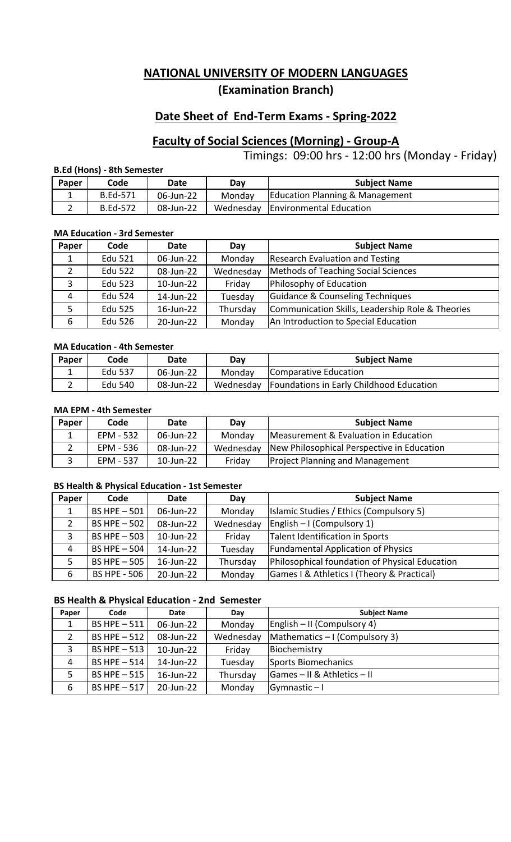# **Date Sheet of End-Term Exams - Spring-2022**

# **Faculty of Social Sciences (Morning) - Group-A**

Timings: 09:00 hrs - 12:00 hrs (Monday - Friday)

### **B.Ed (Hons) - 8th Semester**

| Paper | Code            | Date      | Dav    | <b>Subject Name</b>                 |
|-------|-----------------|-----------|--------|-------------------------------------|
|       | <b>B.Ed-571</b> | 06-Jun-22 | Monday | Education Planning & Management     |
|       | <b>B.Ed-572</b> | 08-Jun-22 |        | Wednesday   Environmental Education |

#### **MA Education - 3rd Semester**

| Paper              | Code           | Date      | Day       | <b>Subject Name</b>                              |
|--------------------|----------------|-----------|-----------|--------------------------------------------------|
|                    | <b>Edu 521</b> | 06-Jun-22 | Monday    | <b>Research Evaluation and Testing</b>           |
| າ                  | <b>Edu 522</b> | 08-Jun-22 | Wednesday | Methods of Teaching Social Sciences              |
| っ                  | Edu 523        | 10-Jun-22 | Friday    | Philosophy of Education                          |
| $\mathbf{\Lambda}$ | <b>Edu 524</b> | 14-Jun-22 | Tuesday   | Guidance & Counseling Techniques                 |
|                    | Edu 525        | 16-Jun-22 | Thursday  | Communication Skills, Leadership Role & Theories |
| 6                  | <b>Edu 526</b> | 20-Jun-22 | Monday    | An Introduction to Special Education             |

### **MA Education - 4th Semester**

| Paper | Code    | Date      | Dav    | <b>Subject Name</b>                                  |
|-------|---------|-----------|--------|------------------------------------------------------|
|       | Edu 537 | 06-Jun-22 | Monday | Comparative Education                                |
|       | Edu 540 | 08-Jun-22 |        | Wednesday   Foundations in Early Childhood Education |

### **MA EPM - 4th Semester**

| Paper | Code      | <b>Date</b>  | Dav    | <b>Subject Name</b>                                    |
|-------|-----------|--------------|--------|--------------------------------------------------------|
|       | EPM - 532 | 06-Jun-22    | Monday | Measurement & Evaluation in Education                  |
|       | EPM - 536 | 08-Jun-22    |        | Wednesday   New Philosophical Perspective in Education |
|       | EPM - 537 | $10$ -Jun-22 | Friday | <b>Project Planning and Management</b>                 |

#### **BS Health & Physical Education - 1st Semester**

| Paper | Code                | Date      | Day       | <b>Subject Name</b>                            |
|-------|---------------------|-----------|-----------|------------------------------------------------|
|       | BS HPE $-501$       | 06-Jun-22 | Monday    | Islamic Studies / Ethics (Compulsory 5)        |
| 2     | BS HPE - 502        | 08-Jun-22 | Wednesday | English - I (Compulsory 1)                     |
|       | BS HPE - 503        | 10-Jun-22 | Friday    | <b>Talent Identification in Sports</b>         |
| 4     | BS HPE $-504$       | 14-Jun-22 | Tuesday   | <b>Fundamental Application of Physics</b>      |
|       | BS HPE $-505$       | 16-Jun-22 | Thursday  | Philosophical foundation of Physical Education |
| 6     | <b>BS HPE - 506</b> | 20-Jun-22 | Monday    | Games I & Athletics I (Theory & Practical)     |

## **BS Health & Physical Education - 2nd Semester**

| Paper | Code          | Date      | Day       | <b>Subject Name</b>            |
|-------|---------------|-----------|-----------|--------------------------------|
|       | BS HPE $-511$ | 06-Jun-22 | Monday    | English – II (Compulsory 4)    |
| 2     | BS HPE $-512$ | 08-Jun-22 | Wednesday | Mathematics – I (Compulsory 3) |
| э.    | BS HPE - 513  | 10-Jun-22 | Friday    | Biochemistry                   |
| 4     | BS HPE $-514$ | 14-Jun-22 | Tuesday   | Sports Biomechanics            |
|       | BS HPE $-515$ | 16-Jun-22 | Thursday  | Games - II & Athletics - II    |
| 6     | BS HPE $-517$ | 20-Jun-22 | Monday    | Gymnastic $-1$                 |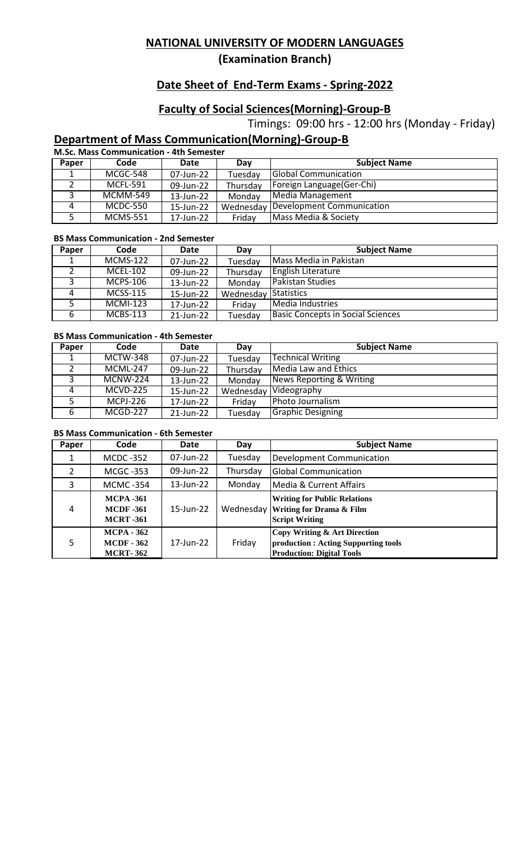**(Examination Branch)**

# **Date Sheet of End-Term Exams - Spring-2022**

# **Faculty of Social Sciences(Morning)-Group-B**

Timings: 09:00 hrs - 12:00 hrs (Monday - Friday)

# **Department of Mass Communication(Morning)-Group-B**

**M.Sc. Mass Communication - 4th Semester**

| Paper | Code            | Date      | Day       | <b>Subject Name</b>         |
|-------|-----------------|-----------|-----------|-----------------------------|
|       | MCGC-548        | 07-Jun-22 | Tuesday   | <b>Global Communication</b> |
|       | <b>MCFL-591</b> | 09-Jun-22 | Thursday  | Foreign Language (Ger-Chi)  |
|       | MCMM-549        | 13-Jun-22 | Monday    | Media Management            |
|       | <b>MCDC-550</b> | 15-Jun-22 | Wednesday | Development Communication   |
|       | <b>MCMS-551</b> | 17-Jun-22 | Friday    | Mass Media & Society        |

#### **BS Mass Communication - 2nd Semester**

| Paper | Code            | Date      | Dav       | <b>Subject Name</b>                      |
|-------|-----------------|-----------|-----------|------------------------------------------|
|       | <b>MCMS-122</b> | 07-Jun-22 | Tuesday   | Mass Media in Pakistan                   |
|       | <b>MCFL-102</b> | 09-Jun-22 | Thursday  | <b>English Literature</b>                |
|       | <b>MCPS-106</b> | 13-Jun-22 | Monday    | <b>Pakistan Studies</b>                  |
| 4     | <b>MCSS-115</b> | 15-Jun-22 | Wednesday | Statistics                               |
|       | <b>MCMI-123</b> | 17-Jun-22 | Friday    | Media Industries                         |
| 6     | <b>MCBS-113</b> | 21-Jun-22 | Tuesday   | <b>Basic Concepts in Social Sciences</b> |

### **BS Mass Communication - 4th Semester**

| Paper | Code            | Date      | Day       | <b>Subject Name</b>      |
|-------|-----------------|-----------|-----------|--------------------------|
|       | <b>MCTW-348</b> | 07-Jun-22 | Tuesday   | Technical Writing        |
|       | <b>MCML-247</b> | 09-Jun-22 | Thursday  | Media Law and Ethics     |
|       | MCNW-224        | 13-Jun-22 | Monday    | News Reporting & Writing |
| 4     | <b>MCVD-225</b> | 15-Jun-22 | Wednesday | Videography              |
| п     | <b>MCPJ-226</b> | 17-Jun-22 | Friday    | Photo Journalism         |
| 6     | MCGD-227        | 21-Jun-22 | Tuesday   | <b>Graphic Designing</b> |

### **BS Mass Communication - 6th Semester**

| Paper          | Code                                                      | Date         | Day       | <b>Subject Name</b>                                                                                      |
|----------------|-----------------------------------------------------------|--------------|-----------|----------------------------------------------------------------------------------------------------------|
| 1              | <b>MCDC -352</b>                                          | 07-Jun-22    | Tuesday   | Development Communication                                                                                |
| 2              | <b>MCGC -353</b>                                          | 09-Jun-22    | Thursday  | <b>Global Communication</b>                                                                              |
| 3              | <b>MCMC -354</b>                                          | 13-Jun-22    | Monday    | Media & Current Affairs                                                                                  |
| $\overline{4}$ | <b>MCPA -361</b><br><b>MCDF</b> -361<br><b>MCRT</b> -361  | $15$ -Jun-22 | Wednesday | <b>Writing for Public Relations</b><br><b>Writing for Drama &amp; Film</b><br><b>Script Writing</b>      |
| 5              | <b>MCPA - 362</b><br><b>MCDF - 362</b><br><b>MCRT-362</b> | 17-Jun-22    | Friday    | Copy Writing & Art Direction<br>production : Acting Supporting tools<br><b>Production: Digital Tools</b> |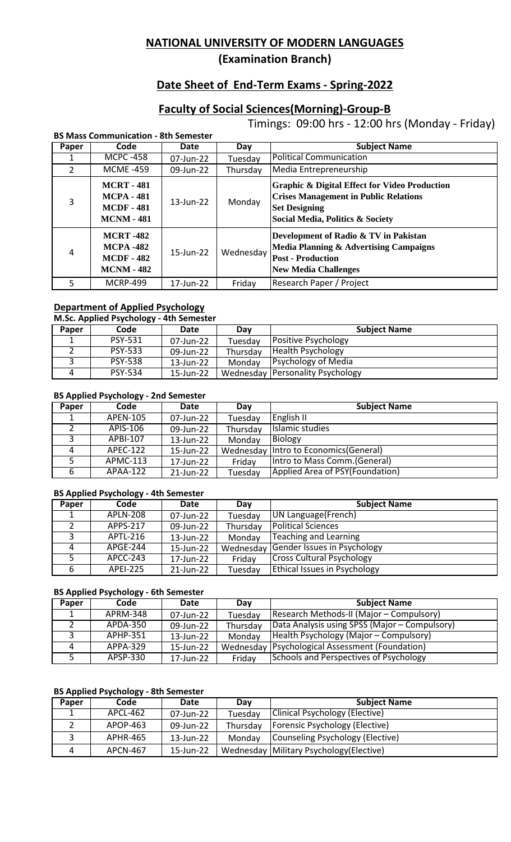**(Examination Branch)**

# **Date Sheet of End-Term Exams - Spring-2022**

# **Faculty of Social Sciences(Morning)-Group-B**

Timings: 09:00 hrs - 12:00 hrs (Monday - Friday)

|       | <b>BS Mass Communication - 8th Semester</b>                                      |              |           |                                                                                                                                                                      |  |  |
|-------|----------------------------------------------------------------------------------|--------------|-----------|----------------------------------------------------------------------------------------------------------------------------------------------------------------------|--|--|
| Paper | Code                                                                             | Date         | Day       | <b>Subject Name</b>                                                                                                                                                  |  |  |
|       | <b>MCPC -458</b>                                                                 | 07-Jun-22    | Tuesdav   | <b>Political Communication</b>                                                                                                                                       |  |  |
| 2     | <b>MCME-459</b>                                                                  | 09-Jun-22    | Thursday  | Media Entrepreneurship                                                                                                                                               |  |  |
| 3     | <b>MCRT - 481</b><br><b>MCPA - 481</b><br><b>MCDF</b> - 481<br><b>MCNM - 481</b> | 13-Jun-22    | Monday    | <b>Graphic &amp; Digital Effect for Video Production</b><br><b>Crises Management in Public Relations</b><br><b>Set Designing</b><br>Social Media, Politics & Society |  |  |
| 4     | <b>MCRT -482</b><br><b>MCPA -482</b><br><b>MCDF - 482</b><br><b>MCNM - 482</b>   | $15$ -Jun-22 | Wednesday | Development of Radio & TV in Pakistan<br>Media Planning & Advertising Campaigns<br><b>Post - Production</b><br><b>New Media Challenges</b>                           |  |  |
| 5     | <b>MCRP-499</b>                                                                  | 17-Jun-22    | Friday    | Research Paper / Project                                                                                                                                             |  |  |

#### **Department of Applied Psychology**

### **M.Sc. Applied Psychology - 4th Semester**

| Paper | Code           | Date      | Day      | <b>Subject Name</b>                     |
|-------|----------------|-----------|----------|-----------------------------------------|
|       | <b>PSY-531</b> | 07-Jun-22 | Tuesday  | Positive Psychology                     |
|       | <b>PSY-533</b> | 09-Jun-22 | Thursday | <b>Health Psychology</b>                |
|       | <b>PSY-538</b> | 13-Jun-22 | Monday   | <b>Psychology of Media</b>              |
|       | <b>PSY-534</b> | 15-Jun-22 |          | <b>Wednesday Personality Psychology</b> |

#### **BS Applied Psychology - 2nd Semester**

| Paper | Code            | Date      | Day       | <b>Subject Name</b>             |
|-------|-----------------|-----------|-----------|---------------------------------|
| ᆂ     | APEN-105        | 07-Jun-22 | Tuesday   | English II                      |
|       | APIS-106        | 09-Jun-22 | Thursday  | Islamic studies                 |
|       | APBI-107        | 13-Jun-22 | Monday    | Biology                         |
| 4     | APEC-122        | 15-Jun-22 | Wednesday | Intro to Economics (General)    |
|       | APMC-113        | 17-Jun-22 | Friday    | Intro to Mass Comm. (General)   |
|       | <b>APAA-122</b> | 21-Jun-22 | Tuesday   | Applied Area of PSY(Foundation) |

### **BS Applied Psychology - 4th Semester**

| Paper | Code            | Date      | Day       | <b>Subject Name</b>                 |
|-------|-----------------|-----------|-----------|-------------------------------------|
|       | <b>APLN-208</b> | 07-Jun-22 | Tuesday   | UN Language (French)                |
|       | <b>APPS-217</b> | 09-Jun-22 | Thursday  | <b>Political Sciences</b>           |
|       | APTL-216        | 13-Jun-22 | Monday    | Teaching and Learning               |
| 4     | <b>APGE-244</b> | 15-Jun-22 | Wednesday | Gender Issues in Psychology         |
|       | APCC-243        | 17-Jun-22 | Friday    | <b>Cross Cultural Psychology</b>    |
|       | <b>APEI-225</b> | 21-Jun-22 | Tuesday   | <b>Ethical Issues in Psychology</b> |

#### **BS Applied Psychology - 6th Semester**

| Paper | Code            | Date      | Dav       | <b>Subject Name</b>                           |
|-------|-----------------|-----------|-----------|-----------------------------------------------|
|       | <b>APRM-348</b> | 07-Jun-22 | Tuesday   | Research Methods-II (Major – Compulsory)      |
|       | APDA-350        | 09-Jun-22 | Thursday  | Data Analysis using SPSS (Major – Compulsory) |
|       | APHP-351        | 13-Jun-22 | Monday    | Health Psychology (Major - Compulsory)        |
|       | APPA-329        | 15-Jun-22 | Wednesday | <b>Psychological Assessment (Foundation)</b>  |
|       | APSP-330        | 17-Jun-22 | Friday    | Schools and Perspectives of Psychology        |

### **BS Applied Psychology - 8th Semester**

| Paper | Code            | Date      | Dav      | <b>Subject Name</b>                        |
|-------|-----------------|-----------|----------|--------------------------------------------|
|       | APCL-462        | 07-Jun-22 | Tuesday  | Clinical Psychology (Elective)             |
|       | APOP-463        | 09-Jun-22 | Thursday | <b>Forensic Psychology (Elective)</b>      |
|       | APHR-465        | 13-Jun-22 | Monday   | Counseling Psychology (Elective)           |
|       | <b>APCN-467</b> | 15-Jun-22 |          | Wednesday   Military Psychology (Elective) |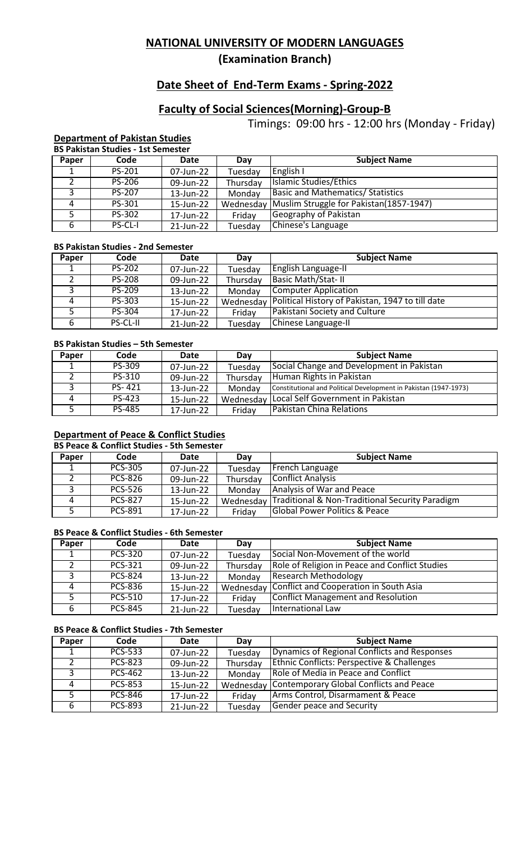**(Examination Branch)**

# **Date Sheet of End-Term Exams - Spring-2022**

# **Faculty of Social Sciences(Morning)-Group-B**

Timings: 09:00 hrs - 12:00 hrs (Monday - Friday)

#### **Department of Pakistan Studies BS Pakistan Studies - 1st Semester**

|       | DJ FANSIAII JUULES - ISL JEIHESIEI |           |           |                                          |  |  |  |
|-------|------------------------------------|-----------|-----------|------------------------------------------|--|--|--|
| Paper | Code                               | Date      | Day       | <b>Subject Name</b>                      |  |  |  |
|       | PS-201                             | 07-Jun-22 | Tuesday   | English I                                |  |  |  |
|       | <b>PS-206</b>                      | 09-Jun-22 | Thursday  | Islamic Studies/Ethics                   |  |  |  |
| ာ     | <b>PS-207</b>                      | 13-Jun-22 | Monday    | <b>Basic and Mathematics/ Statistics</b> |  |  |  |
| 4     | PS-301                             | 15-Jun-22 | Wednesday | Muslim Struggle for Pakistan(1857-1947)  |  |  |  |
|       | PS-302                             | 17-Jun-22 | Friday    | Geography of Pakistan                    |  |  |  |
| 6     | PS-CL-I                            | 21-Jun-22 | Tuesday   | Chinese's Language                       |  |  |  |

### **BS Pakistan Studies - 2nd Semester**

| Paper | Code          | Date      | Day       | <b>Subject Name</b>                              |
|-------|---------------|-----------|-----------|--------------------------------------------------|
|       | <b>PS-202</b> | 07-Jun-22 | Tuesday   | <b>English Language-II</b>                       |
|       | <b>PS-208</b> | 09-Jun-22 | Thursday  | <b>Basic Math/Stat-II</b>                        |
| 3     | PS-209        | 13-Jun-22 | Monday    | Computer Application                             |
|       | PS-303        | 15-Jun-22 | Wednesday | Political History of Pakistan, 1947 to till date |
|       | PS-304        | 17-Jun-22 | Friday    | Pakistani Society and Culture                    |
|       | PS-CL-II      | 21-Jun-22 | Tuesday   | Chinese Language-II                              |

#### **BS Pakistan Studies – 5th Semester**

| Paper | Code          | Date      | Dav       | <b>Subject Name</b>                                              |
|-------|---------------|-----------|-----------|------------------------------------------------------------------|
|       | PS-309        | 07-Jun-22 | Tuesday   | Social Change and Development in Pakistan                        |
|       | PS-310        | 09-Jun-22 | Thursday  | Human Rights in Pakistan                                         |
|       | PS-421        | 13-Jun-22 | Monday    | Constitutional and Political Development in Pakistan (1947-1973) |
|       | PS-423        | 15-Jun-22 | Wednesday | Local Self Government in Pakistan                                |
|       | <b>PS-485</b> | 17-Jun-22 | Friday    | <b>Pakistan China Relations</b>                                  |

### **Department of Peace & Conflict Studies**

#### **BS Peace & Conflict Studies - 5th Semester Paper Code Date Day Date Bay Subject Name 1 PCS-305 07-Jun-22 Tuesday** French Language 1 PCS-305 07-Jun-22 Tuesday French Language<br>2 PCS-826 09-Jun-22 Thursday Conflict Analysis 2 PCS-826 09-Jun-22 Thursday Conflict Analysis<br>3 PCS-526 13-Jun-22 Monday Analysis of War 3 PCS-526 13-Jun-22 Monday Analysis of War and Peace<br>4 PCS-827 15-Jun-22 Wednesday Traditional & Non-Traditio 4 PCS-827 15-Jun-22 Wednesday Traditional & Non-Traditional Security Paradigm<br>5 PCS-891 17-Jun-22 Friday Global Power Politics & Peace 17-Jun-22 Friday Global Power Politics & Peace

### **BS Peace & Conflict Studies - 6th Semester**

| Paper | Code           | Date      | Day       | <b>Subject Name</b>                            |
|-------|----------------|-----------|-----------|------------------------------------------------|
|       | <b>PCS-320</b> | 07-Jun-22 | Tuesday   | Social Non-Movement of the world               |
|       | <b>PCS-321</b> | 09-Jun-22 | Thursday  | Role of Religion in Peace and Conflict Studies |
|       | <b>PCS-824</b> | 13-Jun-22 | Monday    | <b>Research Methodology</b>                    |
| 4     | <b>PCS-836</b> | 15-Jun-22 | Wednesday | Conflict and Cooperation in South Asia         |
|       | <b>PCS-510</b> | 17-Jun-22 | Friday    | <b>Conflict Management and Resolution</b>      |
|       | <b>PCS-845</b> | 21-Jun-22 | Tuesday   | International Law                              |

## **BS Peace & Conflict Studies - 7th Semester**

| Paper | Code           | Date      | Day       | <b>Subject Name</b>                                   |
|-------|----------------|-----------|-----------|-------------------------------------------------------|
|       | <b>PCS-533</b> | 07-Jun-22 | Tuesday   | Dynamics of Regional Conflicts and Responses          |
|       | <b>PCS-823</b> | 09-Jun-22 | Thursday  | <b>Ethnic Conflicts: Perspective &amp; Challenges</b> |
|       | <b>PCS-462</b> | 13-Jun-22 | Monday    | Role of Media in Peace and Conflict                   |
| 4     | <b>PCS-853</b> | 15-Jun-22 | Wednesday | Contemporary Global Conflicts and Peace               |
|       | <b>PCS-846</b> | 17-Jun-22 | Friday    | Arms Control, Disarmament & Peace                     |
| 6     | <b>PCS-893</b> | 21-Jun-22 | Tuesday   | <b>Gender peace and Security</b>                      |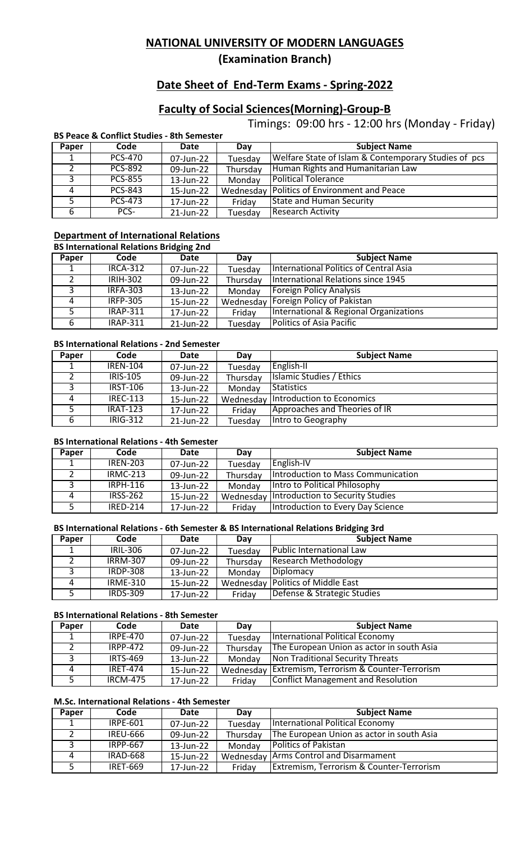**(Examination Branch)**

# **Date Sheet of End-Term Exams - Spring-2022**

# **Faculty of Social Sciences(Morning)-Group-B**

Timings: 09:00 hrs - 12:00 hrs (Monday - Friday)

|       | <b>BS Peace &amp; Conflict Studies - 8th Semester</b> |           |           |                                                      |  |  |  |
|-------|-------------------------------------------------------|-----------|-----------|------------------------------------------------------|--|--|--|
| Paper | Code                                                  | Date      | Day       | <b>Subject Name</b>                                  |  |  |  |
|       | <b>PCS-470</b>                                        | 07-Jun-22 | Tuesday   | Welfare State of Islam & Contemporary Studies of pcs |  |  |  |
|       | <b>PCS-892</b>                                        | 09-Jun-22 | Thursday  | Human Rights and Humanitarian Law                    |  |  |  |
| 3     | <b>PCS-855</b>                                        | 13-Jun-22 | Monday    | <b>Political Tolerance</b>                           |  |  |  |
|       | <b>PCS-843</b>                                        | 15-Jun-22 | Wednesday | <b>Politics of Environment and Peace</b>             |  |  |  |
|       | <b>PCS-473</b>                                        | 17-Jun-22 | Friday    | <b>State and Human Security</b>                      |  |  |  |
| 6     | PCS-                                                  | 21-Jun-22 | Tuesday   | <b>Research Activity</b>                             |  |  |  |

#### **Department of International Relations BS International Relations Bridging 2nd**

|       | <b>BS INTERNATIONAl Relations Bridging Znd</b> |           |           |                                        |  |  |
|-------|------------------------------------------------|-----------|-----------|----------------------------------------|--|--|
| Paper | Code                                           | Date      | Day       | <b>Subject Name</b>                    |  |  |
|       | <b>IRCA-312</b>                                | 07-Jun-22 | Tuesday   | International Politics of Central Asia |  |  |
|       | <b>IRIH-302</b>                                | 09-Jun-22 | Thursday  | International Relations since 1945     |  |  |
| 3     | <b>IRFA-303</b>                                | 13-Jun-22 | Monday    | <b>Foreign Policy Analysis</b>         |  |  |
| 4     | <b>IRFP-305</b>                                | 15-Jun-22 | Wednesday | Foreign Policy of Pakistan             |  |  |
| 5     | <b>IRAP-311</b>                                | 17-Jun-22 | Friday    | International & Regional Organizations |  |  |
| 6     | <b>IRAP-311</b>                                | 21-Jun-22 | Tuesday   | <b>Politics of Asia Pacific</b>        |  |  |

### **BS International Relations - 2nd Semester**

| Paper | Code            | Date      | Dav       | <b>Subject Name</b>           |
|-------|-----------------|-----------|-----------|-------------------------------|
|       | <b>IREN-104</b> | 07-Jun-22 | Tuesday   | English-II                    |
|       | <b>IRIS-105</b> | 09-Jun-22 | Thursday  | Islamic Studies / Ethics      |
|       | <b>IRST-106</b> | 13-Jun-22 | Monday    | Statistics                    |
| 4     | <b>IREC-113</b> | 15-Jun-22 | Wednesday | Introduction to Economics     |
|       | <b>IRAT-123</b> | 17-Jun-22 | Friday    | Approaches and Theories of IR |
| 6     | IRIG-312        | 21-Jun-22 | Tuesday   | Intro to Geography            |

### **BS International Relations - 4th Semester**

| Paper | Code            | Date      | Day      | <b>Subject Name</b>                        |
|-------|-----------------|-----------|----------|--------------------------------------------|
|       | <b>IREN-203</b> | 07-Jun-22 | Tuesday  | English-IV                                 |
|       | <b>IRMC-213</b> | 09-Jun-22 | Thursday | Introduction to Mass Communication         |
|       | <b>IRPH-116</b> | 13-Jun-22 | Monday   | Intro to Political Philosophy              |
|       | <b>IRSS-262</b> | 15-Jun-22 |          | Wednesday Introduction to Security Studies |
|       | <b>IRFD-214</b> | 17-Jun-22 | Friday   | Introduction to Every Day Science          |

### **BS International Relations - 6th Semester & BS International Relations Bridging 3rd**

| Paper | Code            | Date      | Day       | <b>Subject Name</b>            |
|-------|-----------------|-----------|-----------|--------------------------------|
|       | IRIL-306        | 07-Jun-22 | Tuesday   | Public International Law       |
|       | <b>IRRM-307</b> | 09-Jun-22 | Thursday  | <b>Research Methodology</b>    |
|       | <b>IRDP-308</b> | 13-Jun-22 | Monday    | Diplomacy                      |
|       | <b>IRME-310</b> | 15-Jun-22 | Wednesday | <b>Politics of Middle East</b> |
|       | <b>IRDS-309</b> | 17-Jun-22 | Friday    | Defense & Strategic Studies    |

#### **BS International Relations - 8th Semester**

| Paper | Code            | Date      | Day       | <b>Subject Name</b>                       |
|-------|-----------------|-----------|-----------|-------------------------------------------|
|       | <b>IRPE-470</b> | 07-Jun-22 | Tuesday   | <b>International Political Economy</b>    |
|       | <b>IRPP-472</b> | 09-Jun-22 | Thursdav  | The European Union as actor in south Asia |
|       | <b>IRTS-469</b> | 13-Jun-22 | Monday    | Non Traditional Security Threats          |
| 4     | <b>IRFT-474</b> | 15-Jun-22 | Wednesday | Extremism, Terrorism & Counter-Terrorism  |
|       | <b>IRCM-475</b> | 17-Jun-22 | Friday    | <b>Conflict Management and Resolution</b> |

## **M.Sc. International Relations - 4th Semester**

| Paper | Code            | Date      | Day       | <b>Subject Name</b>                                 |
|-------|-----------------|-----------|-----------|-----------------------------------------------------|
|       | IRPE-601        | 07-Jun-22 | Tuesday   | International Political Economy                     |
|       | <b>IREU-666</b> | 09-Jun-22 | Thursday  | The European Union as actor in south Asia           |
|       | <b>IRPP-667</b> | 13-Jun-22 | Monday    | <b>Politics of Pakistan</b>                         |
|       | <b>IRAD-668</b> | 15-Jun-22 | Wednesday | <b>Arms Control and Disarmament</b>                 |
|       | <b>IRET-669</b> | 17-Jun-22 | Friday    | <b>Extremism, Terrorism &amp; Counter-Terrorism</b> |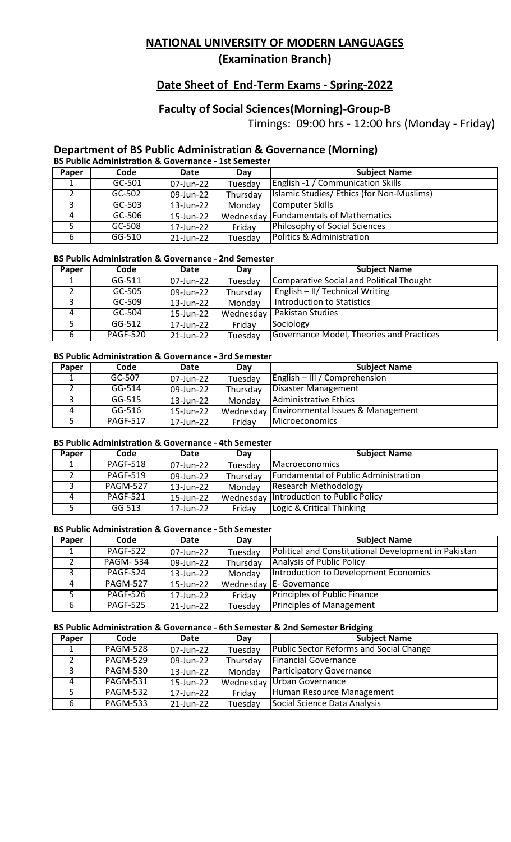**(Examination Branch)**

# **Date Sheet of End-Term Exams - Spring-2022**

# **Faculty of Social Sciences(Morning)-Group-B**

Timings: 09:00 hrs - 12:00 hrs (Monday - Friday)

## **Department of BS Public Administration & Governance (Morning)**

|       | <b>BS Public Administration &amp; Governance - 1st Semester</b> |           |           |                                           |  |  |  |
|-------|-----------------------------------------------------------------|-----------|-----------|-------------------------------------------|--|--|--|
| Paper | Code                                                            | Date      | Day       | <b>Subject Name</b>                       |  |  |  |
|       | GC-501                                                          | 07-Jun-22 | Tuesday   | <b>English -1 / Communication Skills</b>  |  |  |  |
|       | GC-502                                                          | 09-Jun-22 | Thursday  | Islamic Studies/ Ethics (for Non-Muslims) |  |  |  |
| ີ     | $GC-503$                                                        | 13-Jun-22 | Monday    | Computer Skills                           |  |  |  |
| 4     | GC-506                                                          | 15-Jun-22 | Wednesday | Fundamentals of Mathematics               |  |  |  |
|       | GC-508                                                          | 17-Jun-22 | Friday    | <b>Philosophy of Social Sciences</b>      |  |  |  |
| 6     | GG-510                                                          | 21-Jun-22 | Tuesday   | Politics & Administration                 |  |  |  |

#### **BS Public Administration & Governance - 2nd Semester**

| Paper | Code            | Date      | Day       | <b>Subject Name</b>                             |
|-------|-----------------|-----------|-----------|-------------------------------------------------|
|       | $GG-511$        | 07-Jun-22 | Tuesday   | <b>Comparative Social and Political Thought</b> |
|       | GC-505          | 09-Jun-22 | Thursday  | <b>English - II/ Technical Writing</b>          |
|       | GC-509          | 13-Jun-22 | Monday    | Introduction to Statistics                      |
|       | GC-504          | 15-Jun-22 | Wednesday | <b>Pakistan Studies</b>                         |
|       | GG-512          | 17-Jun-22 | Friday    | Sociology                                       |
| 6     | <b>PAGF-520</b> | 21-Jun-22 | Tuesday   | Governance Model, Theories and Practices        |

#### **BS Public Administration & Governance - 3rd Semester**

| Paper | Code            | Date      | Dav       | <b>Subject Name</b>               |
|-------|-----------------|-----------|-----------|-----------------------------------|
|       | GC-507          | 07-Jun-22 | Tuesday   | English – III / Comprehension     |
|       | $GG-514$        | 09-Jun-22 | Thursday  | Disaster Management               |
|       | GG-515          | 13-Jun-22 | Monday    | Administrative Ethics             |
| 4     | GG-516          | 15-Jun-22 | Wednesday | Environmental Issues & Management |
|       | <b>PAGF-517</b> | 17-Jun-22 | Friday    | <i><u>Microeconomics</u></i>      |

### **BS Public Administration & Governance - 4th Semester**

| Paper | Code            | Date      | Day      | <b>Subject Name</b>                         |
|-------|-----------------|-----------|----------|---------------------------------------------|
|       | <b>PAGF-518</b> | 07-Jun-22 | Tuesday  | <b>Macroeconomics</b>                       |
|       | <b>PAGF-519</b> | 09-Jun-22 | Thursday | <b>Fundamental of Public Administration</b> |
|       | <b>PAGM-527</b> | 13-Jun-22 | Monday   | Research Methodology                        |
|       | <b>PAGF-521</b> | 15-Jun-22 |          | Wednesday Introduction to Public Policy     |
|       | GG 513          | 17-Jun-22 | Friday   | Logic & Critical Thinking                   |

### **BS Public Administration & Governance - 5th Semester**

| Paper | Code            | Date      | Day       | <b>Subject Name</b>                                  |
|-------|-----------------|-----------|-----------|------------------------------------------------------|
|       | <b>PAGF-522</b> | 07-Jun-22 | Tuesday   | Political and Constitutional Development in Pakistan |
|       | <b>PAGM-534</b> | 09-Jun-22 | Thursday  | <b>Analysis of Public Policy</b>                     |
|       | <b>PAGF-524</b> | 13-Jun-22 | Monday    | Introduction to Development Economics                |
| 4     | <b>PAGM-527</b> | 15-Jun-22 | Wednesday | <b>IE- Governance</b>                                |
|       | <b>PAGF-526</b> | 17-Jun-22 | Friday    | <b>Principles of Public Finance</b>                  |
| 6     | <b>PAGF-525</b> | 21-Jun-22 | Tuesday   | <b>Principles of Management</b>                      |

### **BS Public Administration & Governance - 6th Semester & 2nd Semester Bridging**

| Paper | Code            | Date      | Day       | <b>Subject Name</b>                            |
|-------|-----------------|-----------|-----------|------------------------------------------------|
|       | <b>PAGM-528</b> | 07-Jun-22 | Tuesday   | <b>Public Sector Reforms and Social Change</b> |
|       | <b>PAGM-529</b> | 09-Jun-22 | Thursday  | <b>Financial Governance</b>                    |
|       | <b>PAGM-530</b> | 13-Jun-22 | Monday    | Participatory Governance                       |
| 4     | <b>PAGM-531</b> | 15-Jun-22 | Wednesday | Urban Governance                               |
|       | <b>PAGM-532</b> | 17-Jun-22 | Friday    | Human Resource Management                      |
| 6     | <b>PAGM-533</b> | 21-Jun-22 | Tuesday   | Social Science Data Analysis                   |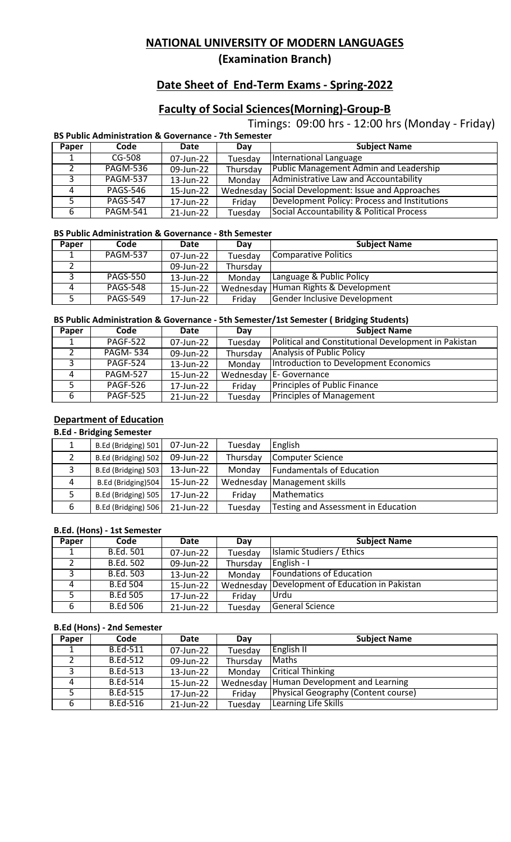**(Examination Branch)**

# **Date Sheet of End-Term Exams - Spring-2022**

# **Faculty of Social Sciences(Morning)-Group-B**

Timings: 09:00 hrs - 12:00 hrs (Monday - Friday)

|       | <b>BS Public Administration &amp; Governance - 7th Semester</b> |           |           |                                              |  |  |  |
|-------|-----------------------------------------------------------------|-----------|-----------|----------------------------------------------|--|--|--|
| Paper | Code                                                            | Date      | Dav       | <b>Subject Name</b>                          |  |  |  |
|       | $CG-508$                                                        | 07-Jun-22 | Tuesday   | International Language                       |  |  |  |
|       | <b>PAGM-536</b>                                                 | 09-Jun-22 | Thursday  | Public Management Admin and Leadership       |  |  |  |
| 3     | <b>PAGM-537</b>                                                 | 13-Jun-22 | Monday    | Administrative Law and Accountability        |  |  |  |
| 4     | <b>PAGS-546</b>                                                 | 15-Jun-22 | Wednesday | Social Development: Issue and Approaches     |  |  |  |
| -5    | <b>PAGS-547</b>                                                 | 17-Jun-22 | Friday    | Development Policy: Process and Institutions |  |  |  |
| 6     | <b>PAGM-541</b>                                                 | 21-Jun-22 | Tuesday   | Social Accountability & Political Process    |  |  |  |

#### **BS Public Administration & Governance - 8th Semester**

| <b>Paper</b> | Code            | Date      | Dav       | <b>Subject Name</b>          |
|--------------|-----------------|-----------|-----------|------------------------------|
|              | <b>PAGM-537</b> | 07-Jun-22 | Tuesday   | Comparative Politics         |
|              |                 | 09-Jun-22 | Thursday  |                              |
|              | <b>PAGS-550</b> | 13-Jun-22 | Monday    | Language & Public Policy     |
|              | <b>PAGS-548</b> | 15-Jun-22 | Wednesday | Human Rights & Development   |
|              | <b>PAGS-549</b> | 17-Jun-22 | Friday    | Gender Inclusive Development |

### **BS Public Administration & Governance - 5th Semester/1st Semester ( Bridging Students)**

| Paper        | Code            | Date      | Day       | <b>Subject Name</b>                                  |
|--------------|-----------------|-----------|-----------|------------------------------------------------------|
| 1            | <b>PAGF-522</b> | 07-Jun-22 | Tuesday   | Political and Constitutional Development in Pakistan |
|              | <b>PAGM-534</b> | 09-Jun-22 | Thursday  | <b>Analysis of Public Policy</b>                     |
|              | <b>PAGF-524</b> | 13-Jun-22 | Monday    | Introduction to Development Economics                |
| 4            | <b>PAGM-527</b> | 15-Jun-22 | Wednesday | <b>IE-Governance</b>                                 |
|              | <b>PAGF-526</b> | 17-Jun-22 | Friday    | <b>Principles of Public Finance</b>                  |
| $\mathbf{b}$ | <b>PAGF-525</b> | 21-Jun-22 | Tuesday   | <b>Principles of Management</b>                      |

### **Department of Education**

#### **B.Ed - Bridging Semester**

|   | B.Ed (Bridging) 501 | 07-Jun-22 | Tuesday  | English                             |
|---|---------------------|-----------|----------|-------------------------------------|
|   | B.Ed (Bridging) 502 | 09-Jun-22 | Thursday | Computer Science                    |
| っ | B.Ed (Bridging) 503 | 13-Jun-22 | Monday   | <b>Fundamentals of Education</b>    |
| Δ | B.Ed (Bridging)504  | 15-Jun-22 |          | Wednesday   Management skills       |
|   | B.Ed (Bridging) 505 | 17-Jun-22 | Friday   | <b>Mathematics</b>                  |
| 6 | B.Ed (Bridging) 506 | 21-Jun-22 | Tuesday  | Testing and Assessment in Education |

### **B.Ed. (Hons) - 1st Semester**

| Paper | Code             | Date      | Day       | <b>Subject Name</b>                  |
|-------|------------------|-----------|-----------|--------------------------------------|
|       | <b>B.Ed. 501</b> | 07-Jun-22 | Tuesday   | Islamic Studiers / Ethics            |
|       | <b>B.Ed. 502</b> | 09-Jun-22 | Thursday  | English - I                          |
|       | <b>B.Ed. 503</b> | 13-Jun-22 | Monday    | Foundations of Education             |
| 4     | <b>B.Ed 504</b>  | 15-Jun-22 | Wednesday | Development of Education in Pakistan |
|       | <b>B.Ed 505</b>  | 17-Jun-22 | Friday    | l Urdu                               |
|       | <b>B.Ed 506</b>  | 21-Jun-22 | Tuesday   | General Science                      |

#### **B.Ed (Hons) - 2nd Semester**

| Paper | Code            | Date      | Day       | <b>Subject Name</b>                        |
|-------|-----------------|-----------|-----------|--------------------------------------------|
|       | <b>B.Ed-511</b> | 07-Jun-22 | Tuesday   | English II                                 |
|       | <b>B.Ed-512</b> | 09-Jun-22 | Thursday  | <b>Maths</b>                               |
|       | <b>B.Ed-513</b> | 13-Jun-22 | Monday    | <b>Critical Thinking</b>                   |
| 4     | <b>B.Ed-514</b> | 15-Jun-22 | Wednesday | Human Development and Learning             |
|       | <b>B.Ed-515</b> | 17-Jun-22 | Friday    | <b>Physical Geography (Content course)</b> |
| 6     | <b>B.Ed-516</b> | 21-Jun-22 | Tuesday   | Learning Life Skills                       |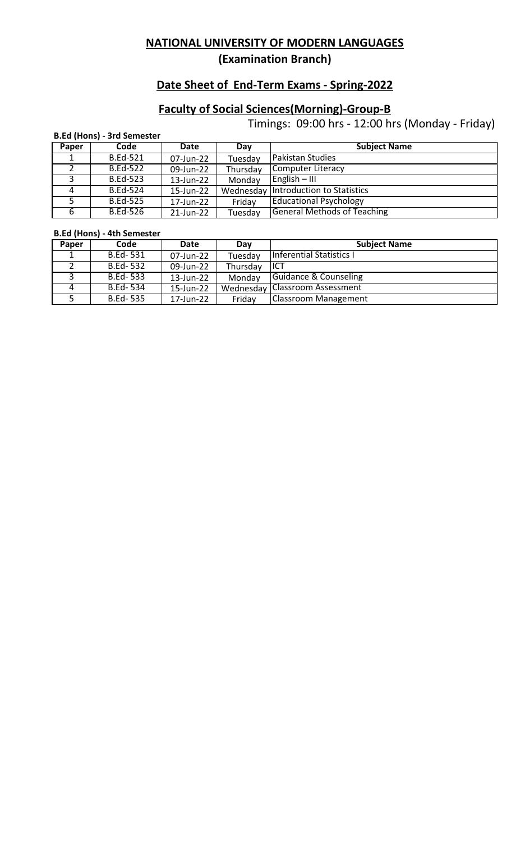**(Examination Branch)**

# **Date Sheet of End-Term Exams - Spring-2022**

# **Faculty of Social Sciences(Morning)-Group-B**

Timings: 09:00 hrs - 12:00 hrs (Monday - Friday)

|       | <b>B.Ed (Hons) - 3rd Semester</b> |           |           |                                    |  |  |  |
|-------|-----------------------------------|-----------|-----------|------------------------------------|--|--|--|
| Paper | Code                              | Date      | Day       | <b>Subject Name</b>                |  |  |  |
|       | <b>B.Ed-521</b>                   | 07-Jun-22 | Tuesday   | <b>Pakistan Studies</b>            |  |  |  |
|       | <b>B.Ed-522</b>                   | 09-Jun-22 | Thursday  | <b>Computer Literacy</b>           |  |  |  |
| 3     | <b>B.Ed-523</b>                   | 13-Jun-22 | Monday    | $English - III$                    |  |  |  |
| 4     | <b>B.Ed-524</b>                   | 15-Jun-22 | Wednesday | Introduction to Statistics         |  |  |  |
| 5     | <b>B.Ed-525</b>                   | 17-Jun-22 | Friday    | <b>Educational Psychology</b>      |  |  |  |
| 6     | <b>B.Ed-526</b>                   | 21-Jun-22 | Tuesday   | <b>General Methods of Teaching</b> |  |  |  |

### **B.Ed (Hons) - 4th Semester**

| Paper | Code            | Date      | Day      | <b>Subject Name</b>              |
|-------|-----------------|-----------|----------|----------------------------------|
|       | <b>B.Ed-531</b> | 07-Jun-22 | Tuesday  | Inferential Statistics I         |
|       | B.Ed-532        | 09-Jun-22 | Thursday | IICT                             |
|       | B.Ed-533        | 13-Jun-22 | Monday   | <b>Guidance &amp; Counseling</b> |
| 4     | B.Ed-534        | 15-Jun-22 |          | Wednesday   Classroom Assessment |
|       | <b>B.Ed-535</b> | 17-Jun-22 | Friday   | <b>Classroom Management</b>      |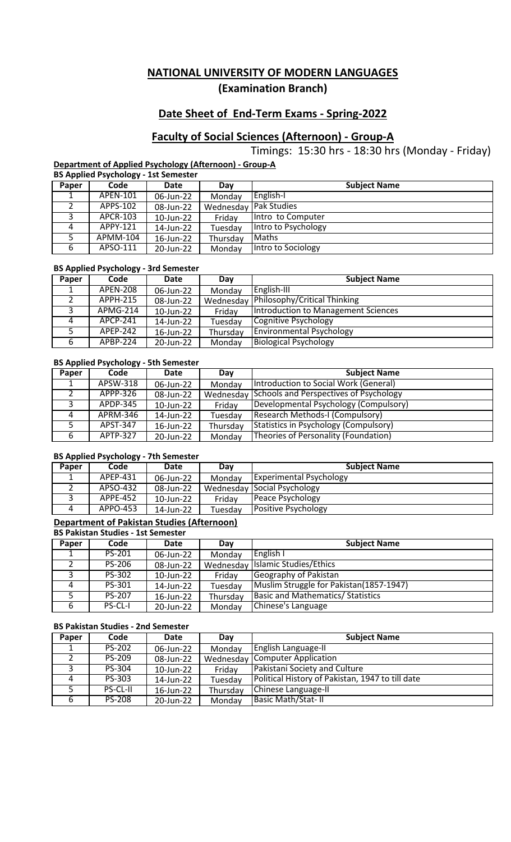## **Date Sheet of End-Term Exams - Spring-2022**

## **Faculty of Social Sciences (Afternoon) - Group-A**

Timings: 15:30 hrs - 18:30 hrs (Monday - Friday)

**Department of Applied Psychology (Afternoon) - Group-A BS Applied Psychology - 1st Semester**

|       |          | ------------ |        |                              |
|-------|----------|--------------|--------|------------------------------|
| Paper | Code     | Date         | Dav    | <b>Subject Name</b>          |
|       | APEN-101 | 06-Jun-22    | Monday | English-I                    |
|       | APPS-102 | 08-Jun-22    |        | <b>Wednesday Pak Studies</b> |

| APCR-103 | 10-Jun-22 | Fridav   | <b>Ilntro</b> to Computer |
|----------|-----------|----------|---------------------------|
| APPY-121 | 14-Jun-22 | Tuesday  | lintro to Psychology      |
| APMM-104 | 16-Jun-22 | Thursday | <b>I</b> Maths            |
| APSO-111 | 20-Jun-22 | Monday   | Intro to Sociology        |

#### **BS Applied Psychology - 3rd Semester**

| Paper | Code            | Date      | Day      | <b>Subject Name</b>                      |
|-------|-----------------|-----------|----------|------------------------------------------|
| ᆠ     | <b>APEN-208</b> | 06-Jun-22 | Monday   | English-III                              |
|       | APPH-215        | 08-Jun-22 |          | Wednesday   Philosophy/Critical Thinking |
| 3     | APMG-214        | 10-Jun-22 | Friday   | Introduction to Management Sciences      |
| 4     | APCP-241        | 14-Jun-22 | Tuesday  | Cognitive Psychology                     |
| 5     | APEP-242        | 16-Jun-22 | Thursday | <b>Environmental Psychology</b>          |
| 6     | APBP-224        | 20-Jun-22 | Monday   | <b>Biological Psychology</b>             |

#### **BS Applied Psychology - 5th Semester**

| Paper | Code            | Date      | Day      | <b>Subject Name</b>                              |
|-------|-----------------|-----------|----------|--------------------------------------------------|
|       | APSW-318        | 06-Jun-22 | Monday   | Introduction to Social Work (General)            |
|       | APPP-326        | 08-Jun-22 |          | Wednesday Schools and Perspectives of Psychology |
| 3     | APDP-345        | 10-Jun-22 | Friday   | Developmental Psychology (Compulsory)            |
| 4     | APRM-346        | 14-Jun-22 | Tuesday  | Research Methods-I (Compulsory)                  |
|       | APST-347        | 16-Jun-22 | Thursday | <b>Statistics in Psychology (Compulsory)</b>     |
| 6     | <b>APTP-327</b> | 20-Jun-22 | Monday   | Theories of Personality (Foundation)             |

#### **BS Applied Psychology - 7th Semester**

| Paper | Code     | Date      | Dav     | <b>Subject Name</b>                |
|-------|----------|-----------|---------|------------------------------------|
| ᅩ     | APEP-431 | 06-Jun-22 | Monday  | <b>Experimental Psychology</b>     |
|       | APSO-432 | 08-Jun-22 |         | <b>Wednesday Social Psychology</b> |
|       | APPE-452 | 10-Jun-22 | Fridav  | Peace Psychology                   |
| Δ     | APPO-453 | 14-Jun-22 | Tuesdav | Positive Psychology                |

### **Department of Pakistan Studies (Afternoon)**

|       | <b>BS Pakistan Studies - 1st Semester</b> |           |          |                                          |  |  |  |
|-------|-------------------------------------------|-----------|----------|------------------------------------------|--|--|--|
| Paper | Code                                      | Date      | Day      | <b>Subject Name</b>                      |  |  |  |
|       | PS-201                                    | 06-Jun-22 | Monday   | English I                                |  |  |  |
|       | <b>PS-206</b>                             | 08-Jun-22 |          | Wednesday Islamic Studies/Ethics         |  |  |  |
| 3     | PS-302                                    | 10-Jun-22 | Friday   | Geography of Pakistan                    |  |  |  |
|       | PS-301                                    | 14-Jun-22 | Tuesday  | Muslim Struggle for Pakistan(1857-1947)  |  |  |  |
|       | <b>PS-207</b>                             | 16-Jun-22 | Thursday | <b>Basic and Mathematics/ Statistics</b> |  |  |  |
| 6     | <b>PS-CL-I</b>                            | 20-Jun-22 | Monday   | Chinese's Language                       |  |  |  |

#### **BS Pakistan Studies - 2nd Semester**

| Paper | Code            | Date      | Day      | <b>Subject Name</b>                              |
|-------|-----------------|-----------|----------|--------------------------------------------------|
|       | <b>PS-202</b>   | 06-Jun-22 | Monday   | <b>English Language-II</b>                       |
|       | <b>PS-209</b>   | 08-Jun-22 |          | <b>Wednesday   Computer Application</b>          |
| 3     | PS-304          | 10-Jun-22 | Friday   | Pakistani Society and Culture                    |
| 4     | PS-303          | 14-Jun-22 | Tuesday  | Political History of Pakistan, 1947 to till date |
|       | <b>PS-CL-II</b> | 16-Jun-22 | Thursday | Chinese Language-II                              |
| b     | <b>PS-208</b>   | 20-Jun-22 | Monday   | <b>Basic Math/Stat-II</b>                        |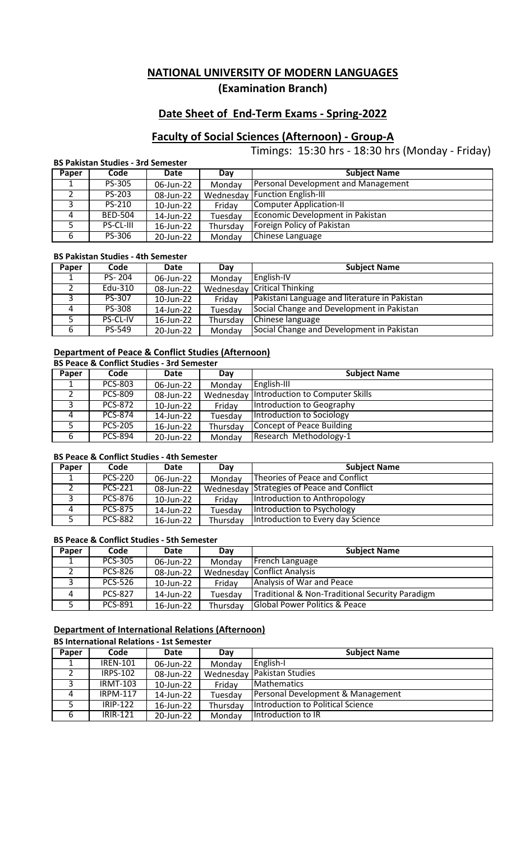## **Date Sheet of End-Term Exams - Spring-2022**

# **Faculty of Social Sciences (Afternoon) - Group-A**

Timings: 15:30 hrs - 18:30 hrs (Monday - Friday)

#### **BS Pakistan Studies - 3rd Semester**

| Paper | Code           | Date      | Dav      | <b>Subject Name</b>                 |
|-------|----------------|-----------|----------|-------------------------------------|
| л.    | <b>PS-305</b>  | 06-Jun-22 | Monday   | Personal Development and Management |
|       | PS-203         | 08-Jun-22 |          | Wednesday Function English-III      |
| 3     | PS-210         | 10-Jun-22 | Friday   | <b>Computer Application-II</b>      |
| 4     | <b>BED-504</b> | 14-Jun-22 | Tuesday  | Economic Development in Pakistan    |
| 5.    | PS-CL-III      | 16-Jun-22 | Thursday | Foreign Policy of Pakistan          |
| 6     | PS-306         | 20-Jun-22 | Monday   | Chinese Language                    |

### **BS Pakistan Studies - 4th Semester**

| Paper    | Code          | Date      | Day      | <b>Subject Name</b>                           |  |  |
|----------|---------------|-----------|----------|-----------------------------------------------|--|--|
|          | PS-204        | 06-Jun-22 | Monday   | English-IV                                    |  |  |
|          | Edu-310       | 08-Jun-22 |          | Wednesday Critical Thinking                   |  |  |
|          | PS-307        | 10-Jun-22 | Friday   | Pakistani Language and literature in Pakistan |  |  |
| $\Delta$ | <b>PS-308</b> | 14-Jun-22 | Tuesday  | Social Change and Development in Pakistan     |  |  |
|          | PS-CL-IV      | 16-Jun-22 | Thursday | Chinese language                              |  |  |
| 6        | PS-549        | 20-Jun-22 | Monday   | Social Change and Development in Pakistan     |  |  |

# **Department of Peace & Conflict Studies (Afternoon)**

|       | <b>BS Peace &amp; Conflict Studies - 3rd Semester</b> |           |          |                                           |  |  |
|-------|-------------------------------------------------------|-----------|----------|-------------------------------------------|--|--|
| Paper | Code                                                  | Date      | Day      | <b>Subject Name</b>                       |  |  |
| ᅩ     | <b>PCS-803</b>                                        | 06-Jun-22 | Monday   | English-III                               |  |  |
|       | <b>PCS-809</b>                                        | 08-Jun-22 |          | Wednesday Introduction to Computer Skills |  |  |
| 3     | <b>PCS-872</b>                                        | 10-Jun-22 | Friday   | Introduction to Geography                 |  |  |
| 4     | <b>PCS-874</b>                                        | 14-Jun-22 | Tuesday  | Introduction to Sociology                 |  |  |
| 5     | <b>PCS-205</b>                                        | 16-Jun-22 | Thursday | Concept of Peace Building                 |  |  |
| 6     | <b>PCS-894</b>                                        | 20-Jun-22 | Monday   | Research Methodology-1                    |  |  |

#### **BS Peace & Conflict Studies - 4th Semester**

| Paper | Code           | Date      | Day      | <b>Subject Name</b>                        |
|-------|----------------|-----------|----------|--------------------------------------------|
|       | <b>PCS-220</b> | 06-Jun-22 | Monday   | Theories of Peace and Conflict             |
|       | <b>PCS-221</b> | 08-Jun-22 |          | Wednesday Strategies of Peace and Conflict |
|       | <b>PCS-876</b> | 10-Jun-22 | Fridav   | Introduction to Anthropology               |
| 4     | <b>PCS-875</b> | 14-Jun-22 | Tuesday  | Introduction to Psychology                 |
|       | <b>PCS-882</b> | 16-Jun-22 | Thursday | Introduction to Every day Science          |

#### **BS Peace & Conflict Studies - 5th Semester**

| Paper | Code           | Date      | Day      | <b>Subject Name</b>                             |
|-------|----------------|-----------|----------|-------------------------------------------------|
|       | <b>PCS-305</b> | 06-Jun-22 | Monday   | <b>French Language</b>                          |
|       | <b>PCS-826</b> | 08-Jun-22 |          | <b>Wednesday Conflict Analysis</b>              |
|       | <b>PCS-526</b> | 10-Jun-22 | Friday   | Analysis of War and Peace                       |
| 4     | <b>PCS-827</b> | 14-Jun-22 | Tuesday  | Traditional & Non-Traditional Security Paradigm |
| 5     | PCS-891        | 16-Jun-22 | Thursday | <b>Global Power Politics &amp; Peace</b>        |

## **Department of International Relations (Afternoon)**

## **BS International Relations - 1st Semester**

| Paper | Code            | Date      | Day       | <b>Subject Name</b>               |  |  |
|-------|-----------------|-----------|-----------|-----------------------------------|--|--|
|       | <b>IREN-101</b> | 06-Jun-22 | Monday    | English-I                         |  |  |
|       | <b>IRPS-102</b> | 08-Jun-22 | Wednesday | <b>Pakistan Studies</b>           |  |  |
| 3     | <b>IRMT-103</b> | 10-Jun-22 | Fridav    | <b>Mathematics</b>                |  |  |
| 4     | <b>IRPM-117</b> | 14-Jun-22 | Tuesday   | Personal Development & Management |  |  |
|       | IRIP-122        | 16-Jun-22 | Thursday  | Introduction to Political Science |  |  |
| 6     | <b>IRIR-121</b> | 20-Jun-22 | Monday    | Introduction to IR                |  |  |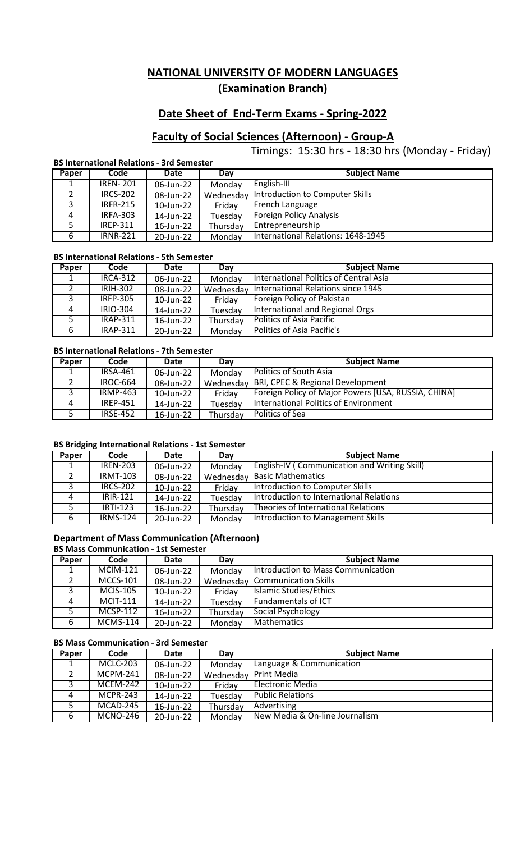## **Date Sheet of End-Term Exams - Spring-2022**

# **Faculty of Social Sciences (Afternoon) - Group-A**

Timings: 15:30 hrs - 18:30 hrs (Monday - Friday)

#### **BS International Relations - 3rd Semester**

| Paper | Code            | Date      | Day      | <b>Subject Name</b>                       |
|-------|-----------------|-----------|----------|-------------------------------------------|
|       | <b>IREN-201</b> | 06-Jun-22 | Monday   | English-III                               |
|       | <b>IRCS-202</b> | 08-Jun-22 |          | Wednesday Introduction to Computer Skills |
| 3     | <b>IRFR-215</b> | 10-Jun-22 | Friday   | French Language                           |
| 4     | <b>IRFA-303</b> | 14-Jun-22 | Tuesday  | <b>Foreign Policy Analysis</b>            |
|       | <b>IREP-311</b> | 16-Jun-22 | Thursday | Entrepreneurship                          |
| 6     | <b>IRNR-221</b> | 20-Jun-22 | Monday   | International Relations: 1648-1945        |

#### **BS International Relations - 5th Semester**

| Paper | Code            | Date      | Day      | <b>Subject Name</b>                            |
|-------|-----------------|-----------|----------|------------------------------------------------|
|       | <b>IRCA-312</b> | 06-Jun-22 | Monday   | International Politics of Central Asia         |
|       | <b>IRIH-302</b> | 08-Jun-22 |          | Wednesday   International Relations since 1945 |
| ર     | <b>IRFP-305</b> | 10-Jun-22 | Fridav   | Foreign Policy of Pakistan                     |
| Δ     | IRIO-304        | 14-Jun-22 | Tuesday  | International and Regional Orgs                |
|       | <b>IRAP-311</b> | 16-Jun-22 | Thursday | <b>Politics of Asia Pacific</b>                |
| b     | <b>IRAP-311</b> | 20-Jun-22 | Monday   | Politics of Asia Pacific's                     |

#### **BS International Relations - 7th Semester**

| Paper | Code            | Date      | Day      | <b>Subject Name</b>                                 |
|-------|-----------------|-----------|----------|-----------------------------------------------------|
|       | <b>IRSA-461</b> | 06-Jun-22 | Monday   | <b>Politics of South Asia</b>                       |
|       | <b>IROC-664</b> | 08-Jun-22 |          | Wednesday   BRI, CPEC & Regional Development        |
|       | <b>IRMP-463</b> | 10-Jun-22 | Friday   | Foreign Policy of Major Powers [USA, RUSSIA, CHINA] |
| Δ     | <b>IREP-451</b> | 14-Jun-22 | Tuesday  | International Politics of Environment               |
|       | <b>IRSE-452</b> | 16-Jun-22 | Thursday | Politics of Sea                                     |

### **BS Bridging International Relations - 1st Semester**

| Paper | Code                          | Date      | Day      | <b>Subject Name</b>                                 |
|-------|-------------------------------|-----------|----------|-----------------------------------------------------|
| 1     | <b>IREN-203</b>               | 06-Jun-22 | Monday   | <b>English-IV (Communication and Writing Skill)</b> |
|       | <b>IRMT-103</b>               | 08-Jun-22 |          | Wednesday Basic Mathematics                         |
| 3     | <b>IRCS-202</b>               | 10-Jun-22 | Friday   | Introduction to Computer Skills                     |
| 4     | <b>IRIR-121</b>               | 14-Jun-22 | Tuesday  | Introduction to International Relations             |
| 5     | $IRTI-123$                    | 16-Jun-22 | Thursday | Theories of International Relations                 |
| 6     | $\overline{\text{IRMS}}$ -124 | 20-Jun-22 | Monday   | Introduction to Management Skills                   |

#### **Department of Mass Communication (Afternoon)**

#### **BS Mass Communication - 1st Semester**

| <b>Paper</b> | Code            | <b>Date</b> | Day      | <b>Subject Name</b>                   |
|--------------|-----------------|-------------|----------|---------------------------------------|
|              | <b>MCIM-121</b> | 06-Jun-22   | Monday   | Introduction to Mass Communication    |
|              | MCCS-101        | 08-Jun-22   |          | <b>Wednesday Communication Skills</b> |
| 3            | <b>MCIS-105</b> | 10-Jun-22   | Friday   | Islamic Studies/Ethics                |
| 4            | <b>MCIT-111</b> | 14-Jun-22   | Tuesday  | <b>Fundamentals of ICT</b>            |
|              | <b>MCSP-112</b> | 16-Jun-22   | Thursday | Social Psychology                     |
| b            | $MCMS-114$      | 20-Jun-22   | Monday   | <b>Mathematics</b>                    |

#### **BS Mass Communication - 3rd Semester**

| Paper | Code            | Date      | Day       | <b>Subject Name</b>            |
|-------|-----------------|-----------|-----------|--------------------------------|
| ᅩ     | <b>MCLC-203</b> | 06-Jun-22 | Monday    | Language & Communication       |
|       | <b>MCPM-241</b> | 08-Jun-22 | Wednesday | <b>Print Media</b>             |
|       | <b>MCEM-242</b> | 10-Jun-22 | Friday    | Electronic Media               |
| 4     | <b>MCPR-243</b> | 14-Jun-22 | Tuesday   | <b>Public Relations</b>        |
| 5     | MCAD-245        | 16-Jun-22 | Thursday  | Advertising                    |
| 6     | <b>MCNO-246</b> | 20-Jun-22 | Monday    | New Media & On-line Journalism |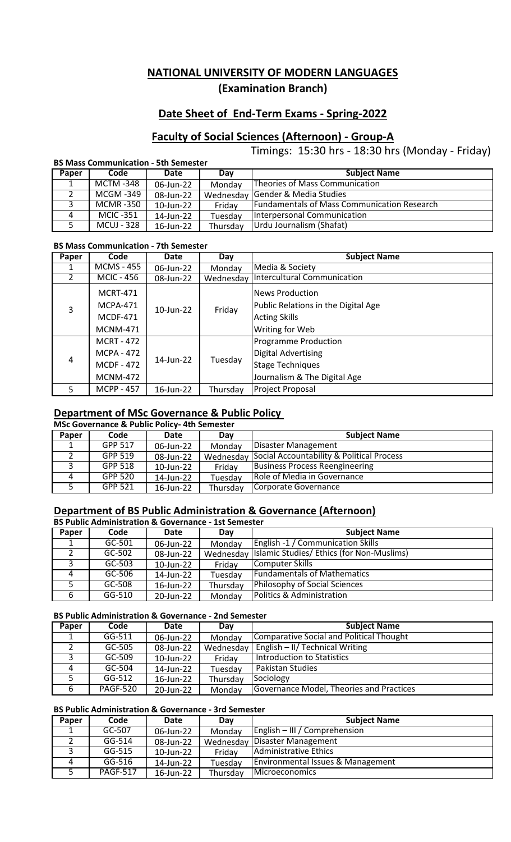## **Date Sheet of End-Term Exams - Spring-2022**

# **Faculty of Social Sciences (Afternoon) - Group-A**

Timings: 15:30 hrs - 18:30 hrs (Monday - Friday)

#### **BS Mass Communication - 5th Semester**

| <b>Paper</b> | Code             | Date      | Day      | <b>Subject Name</b>                                |
|--------------|------------------|-----------|----------|----------------------------------------------------|
|              | <b>MCTM -348</b> | 06-Jun-22 | Monday   | Theories of Mass Communication                     |
|              | MCGM -349        | 08-Jun-22 |          | Wednesday Gender & Media Studies                   |
|              | MCMR -350        | 10-Jun-22 | Fridav   | <b>Fundamentals of Mass Communication Research</b> |
| 4            | <b>MCIC -351</b> | 14-Jun-22 | Tuesday  | <b>Interpersonal Communication</b>                 |
|              | MCUJ - 328       | 16-Jun-22 | Thursday | Urdu Journalism (Shafat)                           |

#### **BS Mass Communication - 7th Semester**

| Paper          | Code                                                                           | <b>Date</b>  | Day       | <b>Subject Name</b>                                                                                                  |
|----------------|--------------------------------------------------------------------------------|--------------|-----------|----------------------------------------------------------------------------------------------------------------------|
|                | <b>MCMS - 455</b>                                                              | 06-Jun-22    | Monday    | Media & Society                                                                                                      |
|                | <b>MCIC - 456</b>                                                              | 08-Jun-22    | Wednesday | <b>Intercultural Communication</b>                                                                                   |
| 3              | <b>MCRT-471</b><br><b>MCPA-471</b><br><b>MCDF-471</b><br><b>MCNM-471</b>       | $10$ -Jun-22 | Friday    | <b>News Production</b><br>Public Relations in the Digital Age<br><b>Acting Skills</b><br>Writing for Web             |
| $\overline{4}$ | <b>MCRT - 472</b><br><b>MCPA - 472</b><br><b>MCDF - 472</b><br><b>MCNM-472</b> | 14-Jun-22    | Tuesday   | <b>Programme Production</b><br><b>Digital Advertising</b><br><b>Stage Techniques</b><br>Journalism & The Digital Age |
| 5.             | <b>MCPP - 457</b>                                                              | 16-Jun-22    | Thursday  | Project Proposal                                                                                                     |

### **Department of MSc Governance & Public Policy**

|       | <b>MSc Governance &amp; Public Policy-4th Semester</b> |           |          |                                                                |  |  |  |
|-------|--------------------------------------------------------|-----------|----------|----------------------------------------------------------------|--|--|--|
| Paper | Code                                                   | Date      | Day      | <b>Subject Name</b>                                            |  |  |  |
|       | GPP 517                                                | 06-Jun-22 | Monday   | Disaster Management                                            |  |  |  |
|       | GPP 519                                                | 08-Jun-22 |          | <b>Wednesday Social Accountability &amp; Political Process</b> |  |  |  |
| 3     | GPP 518                                                | 10-Jun-22 | Friday   | Business Process Reengineering                                 |  |  |  |
| Δ     | GPP 520                                                | 14-Jun-22 | Tuesday  | Role of Media in Governance                                    |  |  |  |
| 5.    | GPP 521                                                | 16-Jun-22 | Thursday | Corporate Governance                                           |  |  |  |

### **Department of BS Public Administration & Governance (Afternoon)**

|       | <b>BS Public Administration &amp; Governance - 1st Semester</b> |           |          |                                                     |  |  |  |
|-------|-----------------------------------------------------------------|-----------|----------|-----------------------------------------------------|--|--|--|
| Paper | Code                                                            | Date      | Dav      | <b>Subject Name</b>                                 |  |  |  |
|       | $GC-501$                                                        | 06-Jun-22 | Monday   | <b>English -1 / Communication Skills</b>            |  |  |  |
|       | GC-502                                                          | 08-Jun-22 |          | Wednesday Islamic Studies/ Ethics (for Non-Muslims) |  |  |  |
| 3     | $GC-503$                                                        | 10-Jun-22 | Friday   | <b>Computer Skills</b>                              |  |  |  |
| 4     | GC-506                                                          | 14-Jun-22 | Tuesday  | <b>Fundamentals of Mathematics</b>                  |  |  |  |
| 5     | GC-508                                                          | 16-Jun-22 | Thursday | Philosophy of Social Sciences                       |  |  |  |
| 6     | $GG-510$                                                        | 20-Jun-22 | Monday   | Politics & Administration                           |  |  |  |

#### **BS Public Administration & Governance - 2nd Semester**

| Paper | Code            | Date      | Day       | <b>Subject Name</b>                             |
|-------|-----------------|-----------|-----------|-------------------------------------------------|
|       | GG-511          | 06-Jun-22 | Monday    | <b>Comparative Social and Political Thought</b> |
| 2     | GC-505          | 08-Jun-22 | Wednesday | English - II/ Technical Writing                 |
| 3     | GC-509          | 10-Jun-22 | Friday    | <b>Introduction to Statistics</b>               |
| 4     | $GC-504$        | 14-Jun-22 | Tuesday   | <b>Pakistan Studies</b>                         |
| 5     | $GG-512$        | 16-Jun-22 | Thursday  | Sociology                                       |
| 6     | <b>PAGF-520</b> | 20-Jun-22 | Monday    | Governance Model, Theories and Practices        |

#### **BS Public Administration & Governance - 3rd Semester**

| Paper | Code            | Date      | Dav      | <b>Subject Name</b>               |
|-------|-----------------|-----------|----------|-----------------------------------|
|       | GC-507          | 06-Jun-22 | Monday   | $English - III / Comprehension$   |
|       | GG-514          | 08-Jun-22 |          | Wednesday Disaster Management     |
|       | GG-515          | 10-Jun-22 | Friday   | Administrative Ethics             |
|       | GG-516          | 14-Jun-22 | Tuesday  | Environmental Issues & Management |
|       | <b>PAGF-517</b> | 16-Jun-22 | Thursday | Microeconomics                    |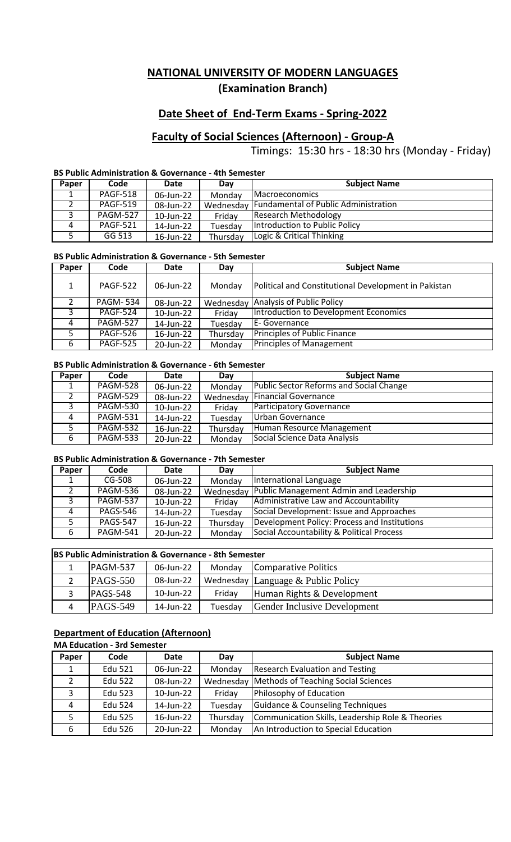## **Date Sheet of End-Term Exams - Spring-2022**

# **Faculty of Social Sciences (Afternoon) - Group-A**

Timings: 15:30 hrs - 18:30 hrs (Monday - Friday)

### **BS Public Administration & Governance - 4th Semester**

| Paper | Code            | Date      | Day      | <b>Subject Name</b>                              |
|-------|-----------------|-----------|----------|--------------------------------------------------|
|       | <b>PAGF-518</b> | 06-Jun-22 | Monday   | <b>IMacroeconomics</b>                           |
|       | <b>PAGF-519</b> | 08-Jun-22 |          | Wednesday   Fundamental of Public Administration |
|       | <b>PAGM-527</b> | 10-Jun-22 | Fridav   | Research Methodology                             |
| Δ     | <b>PAGF-521</b> | 14-Jun-22 | Tuesdav  | Introduction to Public Policy                    |
|       | GG 513          | 16-Jun-22 | Thursday | Logic & Critical Thinking                        |

### **BS Public Administration & Governance - 5th Semester**

| Paper | Code            | <b>Date</b> | Day       | <b>Subject Name</b>                                  |
|-------|-----------------|-------------|-----------|------------------------------------------------------|
| 1.    | <b>PAGF-522</b> | 06-Jun-22   | Monday    | Political and Constitutional Development in Pakistan |
| 2     | <b>PAGM-534</b> | 08-Jun-22   | Wednesday | Analysis of Public Policy                            |
| 3     | <b>PAGF-524</b> | 10-Jun-22   | Friday    | Introduction to Development Economics                |
| 4     | <b>PAGM-527</b> | 14-Jun-22   | Tuesday   | E-Governance                                         |
| 5     | <b>PAGF-526</b> | 16-Jun-22   | Thursday  | Principles of Public Finance                         |
| 6     | <b>PAGF-525</b> | 20-Jun-22   | Monday    | <b>Principles of Management</b>                      |

#### **BS Public Administration & Governance - 6th Semester**

| Paper | Code                   | Date      | Day      | <b>Subject Name</b>                            |
|-------|------------------------|-----------|----------|------------------------------------------------|
|       | <b>PAGM-528</b>        | 06-Jun-22 | Monday   | <b>Public Sector Reforms and Social Change</b> |
|       | <b>PAGM-529</b>        | 08-Jun-22 |          | <b>Wednesday Financial Governance</b>          |
| 3     | <b>PAGM-530</b>        | 10-Jun-22 | Friday   | Participatory Governance                       |
| 4     | <b>PAGM-531</b>        | 14-Jun-22 | Tuesday  | Urban Governance                               |
| 5.    | $\overline{PAGM}$ -532 | 16-Jun-22 | Thursday | Human Resource Management                      |
| 6     | <b>PAGM-533</b>        | 20-Jun-22 | Monday   | Social Science Data Analysis                   |

#### **BS Public Administration & Governance - 7th Semester**

| Paper | Code            | Date      | Day      | <b>Subject Name</b>                              |
|-------|-----------------|-----------|----------|--------------------------------------------------|
|       | $CG-508$        | 06-Jun-22 | Monday   | International Language                           |
| 2     | PAGM-536        | 08-Jun-22 |          | Wednesday Public Management Admin and Leadership |
| 3     | <b>PAGM-537</b> | 10-Jun-22 | Friday   | Administrative Law and Accountability            |
| 4     | <b>PAGS-546</b> | 14-Jun-22 | Tuesday  | Social Development: Issue and Approaches         |
| 5     | <b>PAGS-547</b> | 16-Jun-22 | Thursday | Development Policy: Process and Institutions     |
| 6     | <b>PAGM-541</b> | 20-Jun-22 | Monday   | Social Accountability & Political Process        |

| <b>BS Public Administration &amp; Governance - 8th Semester</b> |           |         |                                     |  |  |
|-----------------------------------------------------------------|-----------|---------|-------------------------------------|--|--|
| PAGM-537                                                        | 06-Jun-22 | Monday  | Comparative Politics                |  |  |
| $PAGS-550$                                                      | 08-Jun-22 |         | Wednesday Language & Public Policy  |  |  |
| PAGS-548                                                        | 10-Jun-22 | Friday  | Human Rights & Development          |  |  |
| $PAGS-549$                                                      | 14-Jun-22 | Tuesday | <b>Gender Inclusive Development</b> |  |  |

# **Department of Education (Afternoon)**

#### **MA Education - 3rd Semester**

| Paper        | Code           | Date      | Day      | <b>Subject Name</b>                              |  |  |
|--------------|----------------|-----------|----------|--------------------------------------------------|--|--|
|              | <b>Edu 521</b> | 06-Jun-22 | Monday   | <b>Research Evaluation and Testing</b>           |  |  |
|              | <b>Edu 522</b> | 08-Jun-22 |          | Wednesday Methods of Teaching Social Sciences    |  |  |
| $\mathbf{C}$ | <b>Edu 523</b> | 10-Jun-22 | Friday   | Philosophy of Education                          |  |  |
| 4            | Edu 524        | 14-Jun-22 | Tuesday  | Guidance & Counseling Techniques                 |  |  |
|              | <b>Edu 525</b> | 16-Jun-22 | Thursday | Communication Skills, Leadership Role & Theories |  |  |
| 6            | <b>Edu 526</b> | 20-Jun-22 | Monday   | An Introduction to Special Education             |  |  |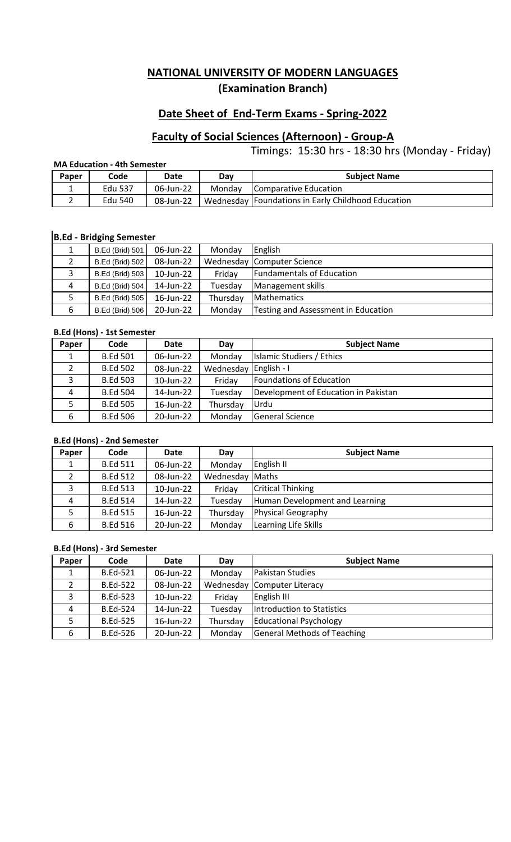## **Date Sheet of End-Term Exams - Spring-2022**

# **Faculty of Social Sciences (Afternoon) - Group-A**

Timings: 15:30 hrs - 18:30 hrs (Monday - Friday)

### **MA Education - 4th Semester**

| Paper | Code    | Date      | Day    | <b>Subject Name</b>                                |
|-------|---------|-----------|--------|----------------------------------------------------|
|       | Edu 537 | 06-Jun-22 | Monday | Comparative Education                              |
|       | Edu 540 | 08-Jun-22 |        | Wednesday Foundations in Early Childhood Education |

# **B.Ed - Bridging Semester**

|   | <b>B.Ed (Brid) 501</b> | 06-Jun-22 | Monday   | English                             |
|---|------------------------|-----------|----------|-------------------------------------|
|   | <b>B.Ed (Brid) 502</b> | 08-Jun-22 |          | Wednesday Computer Science          |
|   | B.Ed (Brid) 503        | 10-Jun-22 | Friday   | <b>Fundamentals of Education</b>    |
| 4 | <b>B.Ed (Brid) 504</b> | 14-Jun-22 | Tuesday  | Management skills                   |
|   | <b>B.Ed (Brid) 505</b> | 16-Jun-22 | Thursday | <b>Mathematics</b>                  |
| 6 | <b>B.Ed (Brid) 506</b> | 20-Jun-22 | Monday   | Testing and Assessment in Education |

### **B.Ed (Hons) - 1st Semester**

| Paper | Code            | Date      | Day                   | <b>Subject Name</b>                  |
|-------|-----------------|-----------|-----------------------|--------------------------------------|
|       | <b>B.Ed 501</b> | 06-Jun-22 | Monday                | Islamic Studiers / Ethics            |
| 2     | <b>B.Ed 502</b> | 08-Jun-22 | Wednesday English - I |                                      |
| 3     | <b>B.Ed 503</b> | 10-Jun-22 | Friday                | Foundations of Education             |
| 4     | <b>B.Ed 504</b> | 14-Jun-22 | Tuesday               | Development of Education in Pakistan |
|       | <b>B.Ed 505</b> | 16-Jun-22 | Thursday              | Urdu                                 |
| 6     | <b>B.Ed 506</b> | 20-Jun-22 | Monday                | <b>General Science</b>               |

### **B.Ed (Hons) - 2nd Semester**

| Paper | Code            | <b>Date</b>  | Day             | <b>Subject Name</b>            |
|-------|-----------------|--------------|-----------------|--------------------------------|
|       | <b>B.Ed 511</b> | 06-Jun-22    | Monday          | English II                     |
|       | <b>B.Ed 512</b> | 08-Jun-22    | Wednesday Maths |                                |
| 3     | <b>B.Ed 513</b> | 10-Jun-22    | Friday          | <b>Critical Thinking</b>       |
| 4     | <b>B.Ed 514</b> | 14-Jun-22    | Tuesday         | Human Development and Learning |
|       | <b>B.Ed 515</b> | $16$ -Jun-22 | Thursday        | Physical Geography             |
| 6     | <b>B.Ed 516</b> | 20-Jun-22    | Monday          | Learning Life Skills           |

#### **B.Ed (Hons) - 3rd Semester**

| Paper | Code            | Date         | Day      | <b>Subject Name</b>                |
|-------|-----------------|--------------|----------|------------------------------------|
| ⊥.    | <b>B.Ed-521</b> | 06-Jun-22    | Monday   | Pakistan Studies                   |
|       | <b>B.Ed-522</b> | 08-Jun-22    |          | Wednesday Computer Literacy        |
| 3     | <b>B.Ed-523</b> | 10-Jun-22    | Friday   | English III                        |
| 4     | <b>B.Ed-524</b> | 14-Jun-22    | Tuesday  | Introduction to Statistics         |
|       | <b>B.Ed-525</b> | $16$ -Jun-22 | Thursday | <b>Educational Psychology</b>      |
| 6     | <b>B.Ed-526</b> | 20-Jun-22    | Monday   | <b>General Methods of Teaching</b> |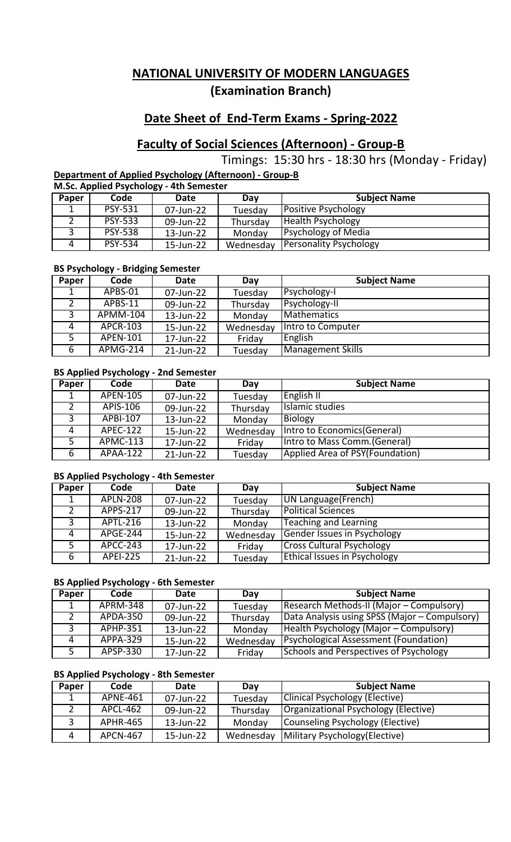# **Date Sheet of End-Term Exams - Spring-2022**

# **Faculty of Social Sciences (Afternoon) - Group-B**

Timings: 15:30 hrs - 18:30 hrs (Monday - Friday)

**Department of Applied Psychology (Afternoon) - Group-B**

**M.Sc. Applied Psychology - 4th Semester**

| Paper | Code           | Date      | Day       | <b>Subject Name</b>           |
|-------|----------------|-----------|-----------|-------------------------------|
| ᅩ     | <b>PSY-531</b> | 07-Jun-22 | Tuesday   | <b>Positive Psychology</b>    |
|       | <b>PSY-533</b> | 09-Jun-22 | Thursday  | <b>Health Psychology</b>      |
|       | <b>PSY-538</b> | 13-Jun-22 | Monday    | <b>Psychology of Media</b>    |
|       | <b>PSY-534</b> | 15-Jun-22 | Wednesday | <b>Personality Psychology</b> |

### **BS Psychology - Bridging Semester**

| Paper | Code     | <b>Date</b> | Day       | <b>Subject Name</b> |
|-------|----------|-------------|-----------|---------------------|
|       | APBS-01  | 07-Jun-22   | Tuesday   | Psychology-I        |
|       | APBS-11  | 09-Jun-22   | Thursday  | Psychology-II       |
| 3     | APMM-104 | 13-Jun-22   | Monday    | <b>Mathematics</b>  |
| 4     | APCR-103 | 15-Jun-22   | Wednesday | Intro to Computer   |
| 5     | APEN-101 | 17-Jun-22   | Friday    | English             |
| 6     | APMG-214 | 21-Jun-22   | Tuesday   | Management Skills   |

## **BS Applied Psychology - 2nd Semester**

| Paper | Code            | Date      | Day       | <b>Subject Name</b>             |
|-------|-----------------|-----------|-----------|---------------------------------|
|       | <b>APEN-105</b> | 07-Jun-22 | Tuesday   | <b>English II</b>               |
|       | APIS-106        | 09-Jun-22 | Thursday  | Islamic studies                 |
| 3     | <b>APBI-107</b> | 13-Jun-22 | Monday    | Biology                         |
| 4     | <b>APEC-122</b> | 15-Jun-22 | Wednesday | Intro to Economics (General)    |
| 5     | APMC-113        | 17-Jun-22 | Friday    | Intro to Mass Comm. (General)   |
| 6     | APAA-122        | 21-Jun-22 | Tuesday   | Applied Area of PSY(Foundation) |

### **BS Applied Psychology - 4th Semester**

| Paper | Code            | Date      | Day       | <b>Subject Name</b>                 |
|-------|-----------------|-----------|-----------|-------------------------------------|
|       | <b>APLN-208</b> | 07-Jun-22 | Tuesday   | UN Language (French)                |
|       | <b>APPS-217</b> | 09-Jun-22 | Thursday  | <b>Political Sciences</b>           |
| 3     | APTL-216        | 13-Jun-22 | Monday    | Teaching and Learning               |
| 4     | APGE-244        | 15-Jun-22 | Wednesday | Gender Issues in Psychology         |
| 5     | APCC-243        | 17-Jun-22 | Friday    | <b>Cross Cultural Psychology</b>    |
| 6     | <b>APEI-225</b> | 21-Jun-22 | Tuesday   | <b>Ethical Issues in Psychology</b> |

### **BS Applied Psychology - 6th Semester**

| Paper | Code                   | Date      | Day       | <b>Subject Name</b>                           |
|-------|------------------------|-----------|-----------|-----------------------------------------------|
|       | <b>APRM-348</b>        | 07-Jun-22 | Tuesday   | Research Methods-II (Major – Compulsory)      |
|       | $\overline{APDA}$ -350 | 09-Jun-22 | Thursday  | Data Analysis using SPSS (Major - Compulsory) |
|       | APHP-351               | 13-Jun-22 | Monday    | Health Psychology (Major – Compulsory)        |
| 4     | <b>APPA-329</b>        | 15-Jun-22 | Wednesday | <b>Psychological Assessment (Foundation)</b>  |
|       | APSP-330               | 17-Jun-22 | Friday    | <b>Schools and Perspectives of Psychology</b> |

### **BS Applied Psychology - 8th Semester**

| Paper | Code            | Date      | Dav       | <b>Subject Name</b>                  |
|-------|-----------------|-----------|-----------|--------------------------------------|
|       | APNE-461        | 07-Jun-22 | Tuesday   | Clinical Psychology (Elective)       |
|       | APCL-462        | 09-Jun-22 | Thursday  | Organizational Psychology (Elective) |
|       | <b>APHR-465</b> | 13-Jun-22 | Monday    | Counseling Psychology (Elective)     |
|       | <b>APCN-467</b> | 15-Jun-22 | Wednesday | Military Psychology (Elective)       |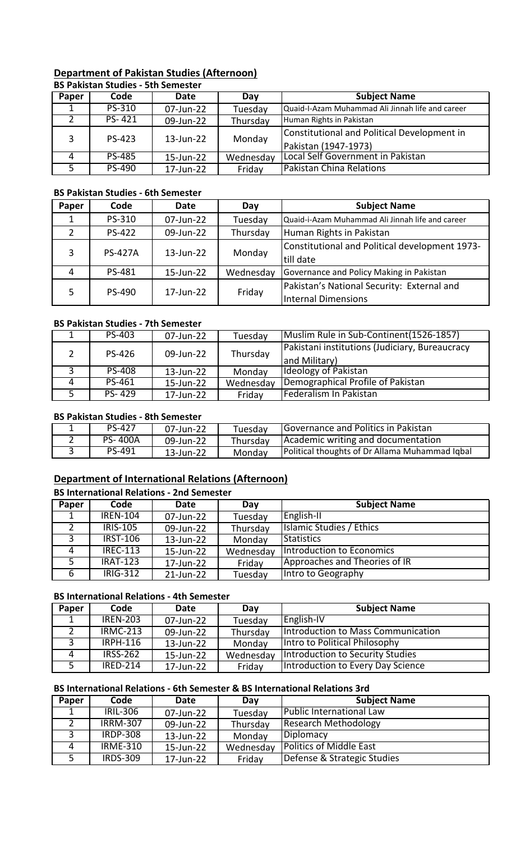#### **Department of Pakistan Studies (Afternoon) BS Pakistan Studies - 5th Semester**

|       | 89   8898811 9688169   961 961 169661 |           |           |                                                  |  |  |
|-------|---------------------------------------|-----------|-----------|--------------------------------------------------|--|--|
| Paper | Code                                  | Date      | Dav       | <b>Subject Name</b>                              |  |  |
|       | PS-310                                | 07-Jun-22 | Tuesday   | Quaid-I-Azam Muhammad Ali Jinnah life and career |  |  |
|       | PS-421                                | 09-Jun-22 | Thursday  | Human Rights in Pakistan                         |  |  |
| 3     | PS-423                                | 13-Jun-22 | Monday    | Constitutional and Political Development in      |  |  |
|       |                                       |           |           | Pakistan (1947-1973)                             |  |  |
| 4     | <b>PS-485</b>                         | 15-Jun-22 | Wednesday | Local Self Government in Pakistan                |  |  |
|       | PS-490                                | 17-Jun-22 | Friday    | Pakistan China Relations                         |  |  |

### **BS Pakistan Studies - 6th Semester**

| Paper | Code           | Date      | Day       | <b>Subject Name</b>                              |
|-------|----------------|-----------|-----------|--------------------------------------------------|
|       | PS-310         | 07-Jun-22 | Tuesday   | Quaid-i-Azam Muhammad Ali Jinnah life and career |
|       | <b>PS-422</b>  | 09-Jun-22 | Thursday  | Human Rights in Pakistan                         |
| 3     | <b>PS-427A</b> | 13-Jun-22 | Monday    | Constitutional and Political development 1973-   |
|       |                |           |           | till date                                        |
| 4     | PS-481         | 15-Jun-22 | Wednesday | Governance and Policy Making in Pakistan         |
|       |                |           |           | Pakistan's National Security: External and       |
| 5     | PS-490         | 17-Jun-22 | Friday    | <b>Internal Dimensions</b>                       |

### **BS Pakistan Studies - 7th Semester**

|    | PS-403        | 07-Jun-22 | Tuesday   | Muslim Rule in Sub-Continent (1526-1857)       |
|----|---------------|-----------|-----------|------------------------------------------------|
|    | PS-426        | 09-Jun-22 | Thursday  | Pakistani institutions (Judiciary, Bureaucracy |
|    |               |           |           | and Military)                                  |
|    | <b>PS-408</b> | 13-Jun-22 | Monday    | <b>Ideology of Pakistan</b>                    |
| 4  | PS-461        | 15-Jun-22 | Wednesday | Demographical Profile of Pakistan              |
| 5. | PS-429        | 17-Jun-22 | Friday    | Federalism In Pakistan                         |

### **BS Pakistan Studies - 8th Semester**

| <b>PS-427</b>  | 07-Jun-22 | Tuesdav  | <b>Governance and Politics in Pakistan</b>            |
|----------------|-----------|----------|-------------------------------------------------------|
| <b>PS-400A</b> | 09-Jun-22 | Thursdav | Academic writing and documentation                    |
| PS-491         | 13-Jun-22 | Monday   | <b>Political thoughts of Dr Allama Muhammad Iqbal</b> |

# **Department of International Relations (Afternoon)**

### **BS International Relations - 2nd Semester**

| Paper | Code            | Date      | Day       | <b>Subject Name</b>           |  |  |
|-------|-----------------|-----------|-----------|-------------------------------|--|--|
|       | <b>IREN-104</b> | 07-Jun-22 | Tuesday   | English-II                    |  |  |
|       | <b>IRIS-105</b> | 09-Jun-22 | Thursday  | Islamic Studies / Ethics      |  |  |
| 3     | <b>IRST-106</b> | 13-Jun-22 | Monday    | Statistics                    |  |  |
| 4     | <b>IREC-113</b> | 15-Jun-22 | Wednesday | Introduction to Economics     |  |  |
| 5     | <b>IRAT-123</b> | 17-Jun-22 | Friday    | Approaches and Theories of IR |  |  |
| 6     | <b>IRIG-312</b> | 21-Jun-22 | Tuesday   | Intro to Geography            |  |  |

### **BS International Relations - 4th Semester**

| Paper | Code            | Date      | Day       | <b>Subject Name</b>                  |
|-------|-----------------|-----------|-----------|--------------------------------------|
|       | <b>IREN-203</b> | 07-Jun-22 | Tuesday   | English-IV                           |
|       | <b>IRMC-213</b> | 09-Jun-22 | Thursday  | Introduction to Mass Communication   |
|       | <b>IRPH-116</b> | 13-Jun-22 | Monday    | <b>Intro to Political Philosophy</b> |
|       | <b>IRSS-262</b> | 15-Jun-22 | Wednesday | Introduction to Security Studies     |
| 5     | <b>IRED-214</b> | 17-Jun-22 | Friday    | Introduction to Every Day Science    |

## **BS International Relations - 6th Semester & BS International Relations 3rd**

| Paper | Code            | Date      | Day       | <b>Subject Name</b>            |
|-------|-----------------|-----------|-----------|--------------------------------|
|       | <b>IRIL-306</b> | 07-Jun-22 | Tuesday   | Public International Law       |
|       | <b>IRRM-307</b> | 09-Jun-22 | Thursday  | Research Methodology           |
| 3     | <b>IRDP-308</b> | 13-Jun-22 | Monday    | Diplomacy                      |
| 4     | <b>IRME-310</b> | 15-Jun-22 | Wednesday | <b>Politics of Middle East</b> |
| .5.   | <b>IRDS-309</b> | 17-Jun-22 | Friday    | Defense & Strategic Studies    |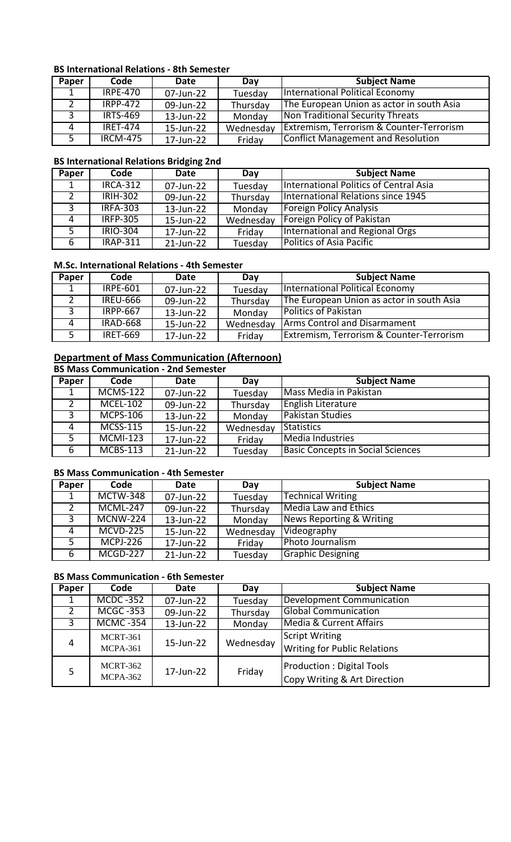## **BS International Relations - 8th Semester**

| Paper | Code            | Date      | Day       | <b>Subject Name</b>                                 |
|-------|-----------------|-----------|-----------|-----------------------------------------------------|
|       | <b>IRPE-470</b> | 07-Jun-22 | Tuesday   | International Political Economy                     |
|       | $IRPP-472$      | 09-Jun-22 | Thursday  | The European Union as actor in south Asia           |
|       | <b>IRTS-469</b> | 13-Jun-22 | Monday    | Non Traditional Security Threats                    |
|       | <b>IRET-474</b> | 15-Jun-22 | Wednesday | <b>Extremism, Terrorism &amp; Counter-Terrorism</b> |
|       | <b>IRCM-475</b> | 17-Jun-22 | Friday    | Conflict Management and Resolution                  |

## **BS International Relations Bridging 2nd**

| Paper | Code            | Date      | Day       | <b>Subject Name</b>                    |
|-------|-----------------|-----------|-----------|----------------------------------------|
|       | <b>IRCA-312</b> | 07-Jun-22 | Tuesday   | International Politics of Central Asia |
|       | <b>IRIH-302</b> | 09-Jun-22 | Thursday  | International Relations since 1945     |
| 3     | <b>IRFA-303</b> | 13-Jun-22 | Monday    | <b>Foreign Policy Analysis</b>         |
| 4     | <b>IRFP-305</b> | 15-Jun-22 | Wednesday | Foreign Policy of Pakistan             |
| 5     | <b>IRIO-304</b> | 17-Jun-22 | Friday    | International and Regional Orgs        |
| 6     | <b>IRAP-311</b> | 21-Jun-22 | Tuesday   | <b>Politics of Asia Pacific</b>        |

### **M.Sc. International Relations - 4th Semester**

| Paper | Code            | Date      | Day       | <b>Subject Name</b>                                 |
|-------|-----------------|-----------|-----------|-----------------------------------------------------|
|       | <b>IRPE-601</b> | 07-Jun-22 | Tuesday   | International Political Economy                     |
|       | <b>IREU-666</b> | 09-Jun-22 | Thursday  | The European Union as actor in south Asia           |
|       | <b>IRPP-667</b> | 13-Jun-22 | Monday    | <b>Politics of Pakistan</b>                         |
| 4     | <b>IRAD-668</b> | 15-Jun-22 | Wednesday | <b>Arms Control and Disarmament</b>                 |
|       | <b>IRET-669</b> | 17-Jun-22 | Friday    | <b>Extremism, Terrorism &amp; Counter-Terrorism</b> |

## **Department of Mass Communication (Afternoon)**

## **BS Mass Communication - 2nd Semester**

| Paper | Code            | Date      | Day       | <b>Subject Name</b>                      |
|-------|-----------------|-----------|-----------|------------------------------------------|
|       | <b>MCMS-122</b> | 07-Jun-22 | Tuesday   | Mass Media in Pakistan                   |
| 2     | <b>MCEL-102</b> | 09-Jun-22 | Thursday  | <b>English Literature</b>                |
| 3     | <b>MCPS-106</b> | 13-Jun-22 | Monday    | <b>Pakistan Studies</b>                  |
|       | <b>MCSS-115</b> | 15-Jun-22 | Wednesday | Statistics                               |
| -5.   | $MCMI-123$      | 17-Jun-22 | Friday    | Media Industries                         |
| 6     | <b>MCBS-113</b> | 21-Jun-22 | Tuesday   | <b>Basic Concepts in Social Sciences</b> |

## **BS Mass Communication - 4th Semester**

| Paper | Code            | Date      | Day       | <b>Subject Name</b>                 |
|-------|-----------------|-----------|-----------|-------------------------------------|
|       | <b>MCTW-348</b> | 07-Jun-22 | Tuesday   | <b>Technical Writing</b>            |
| 2     | <b>MCML-247</b> | 09-Jun-22 | Thursday  | Media Law and Ethics                |
| 3     | $MCNW-224$      | 13-Jun-22 | Monday    | <b>News Reporting &amp; Writing</b> |
| 4     | MCVD-225        | 15-Jun-22 | Wednesday | Videography                         |
| 5     | <b>MCPJ-226</b> | 17-Jun-22 | Friday    | Photo Journalism                    |
| 6     | <b>MCGD-227</b> | 21-Jun-22 | Tuesday   | <b>Graphic Designing</b>            |

## **BS Mass Communication - 6th Semester**

| Paper          | Code                 | Date      | Day       | <b>Subject Name</b>                                              |
|----------------|----------------------|-----------|-----------|------------------------------------------------------------------|
|                | <b>MCDC -352</b>     | 07-Jun-22 | Tuesday   | Development Communication                                        |
| $\overline{2}$ | <b>MCGC -353</b>     | 09-Jun-22 | Thursday  | <b>Global Communication</b>                                      |
| ادى            | <b>MCMC -354</b>     | 13-Jun-22 | Monday    | Media & Current Affairs                                          |
|                | MCRT-361             |           |           | <b>Script Writing</b>                                            |
| 4              | MCPA-361             | 15-Jun-22 | Wednesday | <b>Writing for Public Relations</b>                              |
| 5              | MCRT-362<br>MCPA-362 | 17-Jun-22 | Friday    | <b>Production: Digital Tools</b><br>Copy Writing & Art Direction |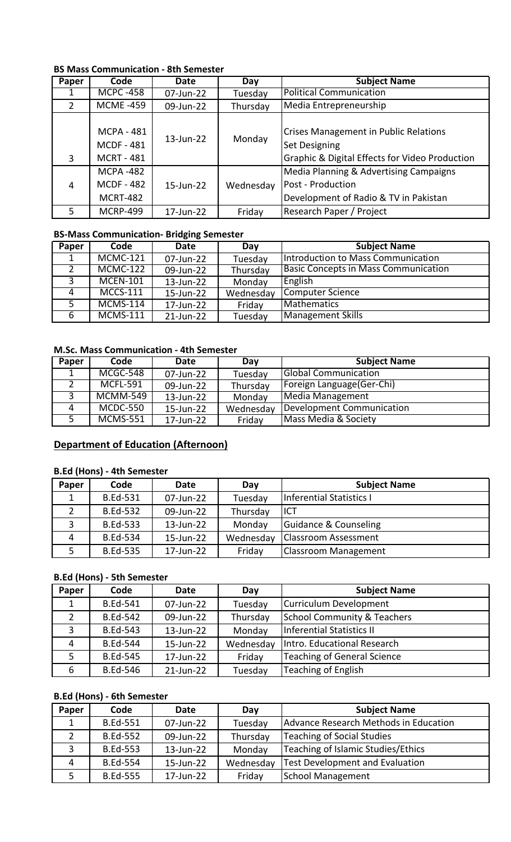## **BS Mass Communication - 8th Semester**

| Paper          | Code                                   | Date               | Day       | <b>Subject Name</b>                                                  |
|----------------|----------------------------------------|--------------------|-----------|----------------------------------------------------------------------|
|                | <b>MCPC -458</b>                       | 07-Jun-22          | Tuesday   | <b>Political Communication</b>                                       |
| 2              | <b>MCME-459</b>                        | 09-Jun-22          | Thursday  | Media Entrepreneurship                                               |
|                | <b>MCPA - 481</b><br><b>MCDF - 481</b> | 13-Jun-22          | Monday    | <b>Crises Management in Public Relations</b><br><b>Set Designing</b> |
| 3              | <b>MCRT - 481</b>                      |                    |           | Graphic & Digital Effects for Video Production                       |
|                | <b>MCPA-482</b>                        |                    |           | Media Planning & Advertising Campaigns                               |
| $\overline{4}$ | <b>MCDF - 482</b>                      | $15 - \frac{1}{2}$ | Wednesday | <b>Post - Production</b>                                             |
|                | <b>MCRT-482</b>                        |                    |           | Development of Radio & TV in Pakistan                                |
| 5              | <b>MCRP-499</b>                        | 17-Jun-22          | Friday    | Research Paper / Project                                             |

### **BS-Mass Communication- Bridging Semester**

| Paper | Code            | <b>Date</b> | Day       | <b>Subject Name</b>                         |
|-------|-----------------|-------------|-----------|---------------------------------------------|
|       | <b>MCMC-121</b> | 07-Jun-22   | Tuesday   | Introduction to Mass Communication          |
| 2     | <b>MCMC-122</b> | 09-Jun-22   | Thursday  | <b>Basic Concepts in Mass Communication</b> |
| 3     | <b>MCEN-101</b> | 13-Jun-22   | Monday    | English                                     |
| 4     | $MCCS-111$      | 15-Jun-22   | Wednesday | Computer Science                            |
| 5     | <b>MCMS-114</b> | 17-Jun-22   | Friday    | Mathematics                                 |
| 6     | <b>MCMS-111</b> | 21-Jun-22   | Tuesday   | Management Skills                           |

## **M.Sc. Mass Communication - 4th Semester**

| Paper | Code            | Date      | Day       | <b>Subject Name</b>         |
|-------|-----------------|-----------|-----------|-----------------------------|
|       | MCGC-548        | 07-Jun-22 | Tuesday   | <b>Global Communication</b> |
|       | <b>MCFL-591</b> | 09-Jun-22 | Thursday  | Foreign Language (Ger-Chi)  |
|       | <b>MCMM-549</b> | 13-Jun-22 | Monday    | Media Management            |
| 4     | <b>MCDC-550</b> | 15-Jun-22 | Wednesday | Development Communication   |
|       | <b>MCMS-551</b> | 17-Jun-22 | Friday    | Mass Media & Society        |

## **Department of Education (Afternoon)**

## **B.Ed (Hons) - 4th Semester**

| Paper | Code            | <b>Date</b> | Day       | <b>Subject Name</b>              |
|-------|-----------------|-------------|-----------|----------------------------------|
|       | <b>B.Ed-531</b> | 07-Jun-22   | Tuesday   | <b>Inferential Statistics I</b>  |
|       | <b>B.Ed-532</b> | 09-Jun-22   | Thursday  | ICT                              |
| ∍     | <b>B.Ed-533</b> | 13-Jun-22   | Monday    | <b>Guidance &amp; Counseling</b> |
|       | <b>B.Ed-534</b> | 15-Jun-22   | Wednesday | <b>Classroom Assessment</b>      |
|       | <b>B.Ed-535</b> | 17-Jun-22   | Friday    | <b>Classroom Management</b>      |

## **B.Ed (Hons) - 5th Semester**

| Paper | Code            | <b>Date</b> | Day       | <b>Subject Name</b>         |
|-------|-----------------|-------------|-----------|-----------------------------|
|       | <b>B.Ed-541</b> | 07-Jun-22   | Tuesday   | Curriculum Development      |
|       | <b>B.Ed-542</b> | 09-Jun-22   | Thursday  | School Community & Teachers |
| 3     | <b>B.Ed-543</b> | 13-Jun-22   | Monday    | Inferential Statistics II   |
| 4     | <b>B.Ed-544</b> | 15-Jun-22   | Wednesday | Intro. Educational Research |
| 5     | <b>B.Ed-545</b> | 17-Jun-22   | Friday    | Teaching of General Science |
| 6     | <b>B.Ed-546</b> | 21-Jun-22   | Tuesday   | Teaching of English         |

### **B.Ed (Hons) - 6th Semester**

| Paper | Code            | Date      | Day       | <b>Subject Name</b>                    |
|-------|-----------------|-----------|-----------|----------------------------------------|
|       | <b>B.Ed-551</b> | 07-Jun-22 | Tuesday   | Advance Research Methods in Education  |
|       | <b>B.Ed-552</b> | 09-Jun-22 | Thursday  | Teaching of Social Studies             |
| っ     | <b>B.Ed-553</b> | 13-Jun-22 | Monday    | Teaching of Islamic Studies/Ethics     |
| 4     | <b>B.Ed-554</b> | 15-Jun-22 | Wednesday | <b>Test Development and Evaluation</b> |
|       | <b>B.Ed-555</b> | 17-Jun-22 | Friday    | <b>School Management</b>               |